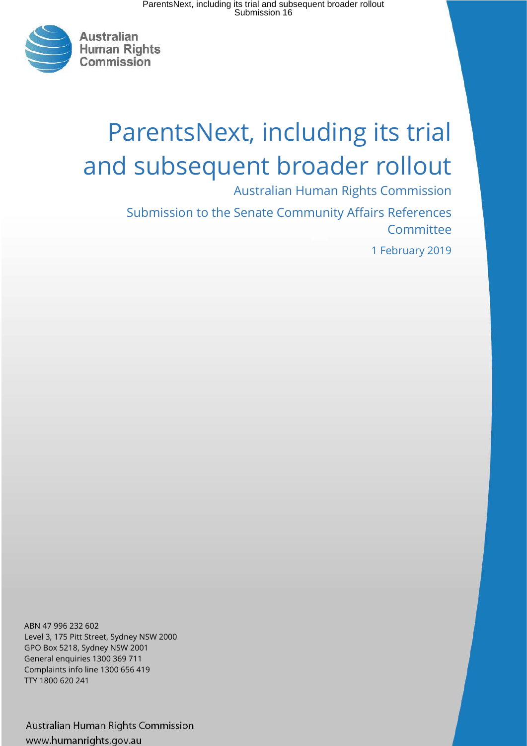

# ParentsNext, including its trial and subsequent broader rollout

Australian Human Rights Commission

Submission to the Senate Community Affairs References Committee

1 February 2019

ABN 47 996 232 602 Level 3, 175 Pitt Street, Sydney NSW 2000 GPO Box 5218, Sydney NSW 2001 General enquiries 1300 369 711 Complaints info line 1300 656 419 TTY 1800 620 241

Australian Human Rights Commission www.humanrights.gov.au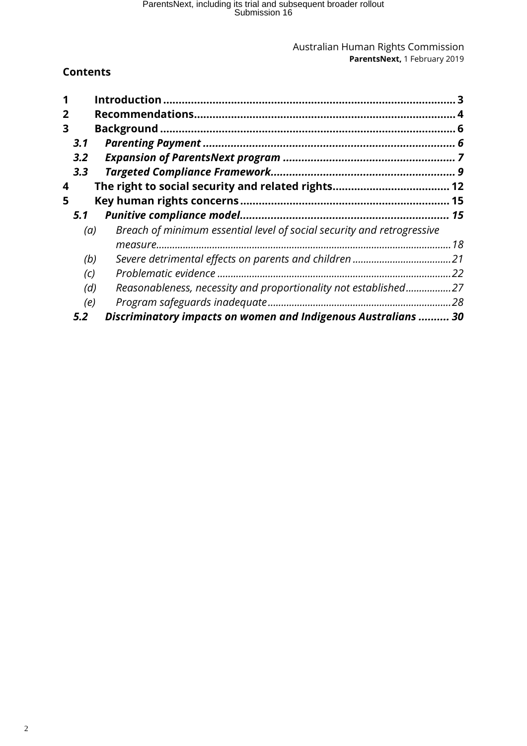### **Contents**

|   |                   |                                                                        | 3 |
|---|-------------------|------------------------------------------------------------------------|---|
| 2 |                   |                                                                        |   |
| 3 |                   |                                                                        |   |
|   | 3.1               |                                                                        |   |
|   | 3.2               |                                                                        |   |
|   | 3.3               |                                                                        |   |
| 4 |                   |                                                                        |   |
| 5 |                   |                                                                        |   |
|   | 5.1               |                                                                        |   |
|   | (a)               | Breach of minimum essential level of social security and retrogressive |   |
|   |                   |                                                                        |   |
|   | (b)               |                                                                        |   |
|   | $\left( c\right)$ |                                                                        |   |
|   | (d)               | Reasonableness, necessity and proportionality not established27        |   |
|   | (e)               |                                                                        |   |
|   | 5.2               | Discriminatory impacts on women and Indigenous Australians  30         |   |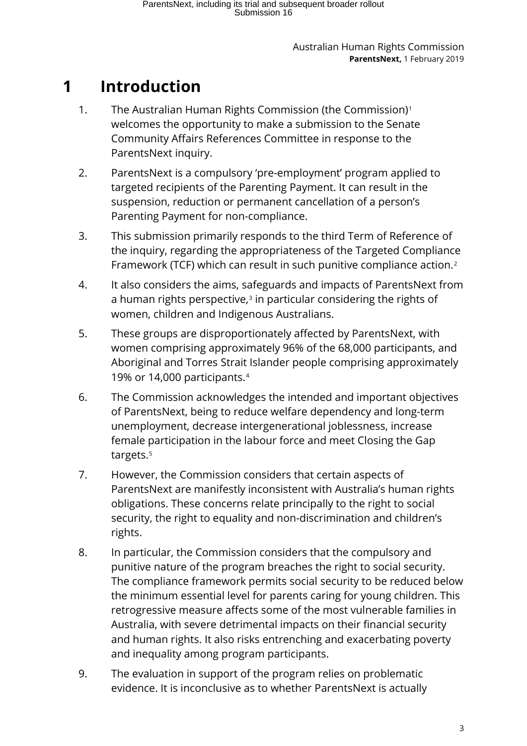# <span id="page-2-0"></span>**1 Introduction**

- 1. The Australian Human Rights Commission (the Commission)[1](#page-35-0) welcomes the opportunity to make a submission to the Senate Community Affairs References Committee in response to the ParentsNext inquiry.
- 2. ParentsNext is a compulsory 'pre-employment' program applied to targeted recipients of the Parenting Payment. It can result in the suspension, reduction or permanent cancellation of a person's Parenting Payment for non-compliance.
- 3. This submission primarily responds to the third Term of Reference of the inquiry, regarding the appropriateness of the Targeted Compliance Framework (TCF) which can result in such punitive compliance action.[2](#page-35-1)
- 4. It also considers the aims, safeguards and impacts of ParentsNext from a human rights perspective, $3$  in particular considering the rights of women, children and Indigenous Australians.
- 5. These groups are disproportionately affected by ParentsNext, with women comprising approximately 96% of the 68,000 participants, and Aboriginal and Torres Strait Islander people comprising approximately 19% or 14,000 participants.[4](#page-35-3)
- 6. The Commission acknowledges the intended and important objectives of ParentsNext, being to reduce welfare dependency and long-term unemployment, decrease intergenerational joblessness, increase female participation in the labour force and meet Closing the Gap targets.<sup>[5](#page-35-4)</sup>
- 7. However, the Commission considers that certain aspects of ParentsNext are manifestly inconsistent with Australia's human rights obligations. These concerns relate principally to the right to social security, the right to equality and non-discrimination and children's rights.
- 8. In particular, the Commission considers that the compulsory and punitive nature of the program breaches the right to social security. The compliance framework permits social security to be reduced below the minimum essential level for parents caring for young children. This retrogressive measure affects some of the most vulnerable families in Australia, with severe detrimental impacts on their financial security and human rights. It also risks entrenching and exacerbating poverty and inequality among program participants.
- 9. The evaluation in support of the program relies on problematic evidence. It is inconclusive as to whether ParentsNext is actually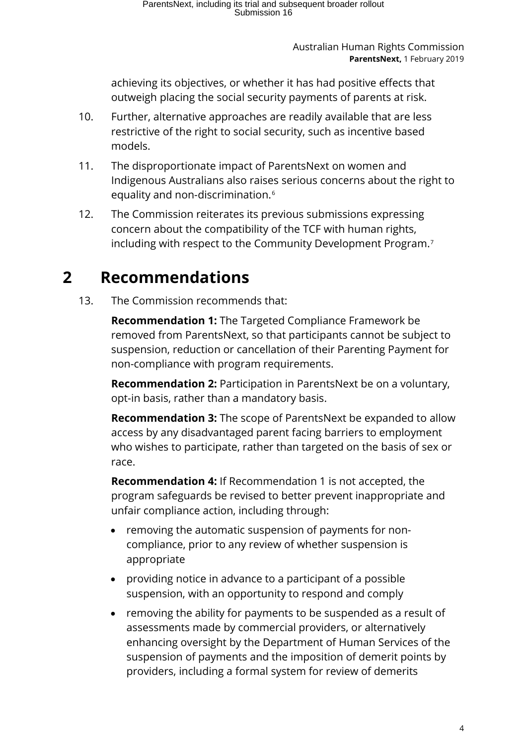achieving its objectives, or whether it has had positive effects that outweigh placing the social security payments of parents at risk.

- 10. Further, alternative approaches are readily available that are less restrictive of the right to social security, such as incentive based models.
- 11. The disproportionate impact of ParentsNext on women and Indigenous Australians also raises serious concerns about the right to equality and non-discrimination.<sup>[6](#page-36-0)</sup>
- 12. The Commission reiterates its previous submissions expressing concern about the compatibility of the TCF with human rights, including with respect to the Community Development Program.<sup>[7](#page-36-1)</sup>

# <span id="page-3-0"></span>**2 Recommendations**

13. The Commission recommends that:

**Recommendation 1:** The Targeted Compliance Framework be removed from ParentsNext, so that participants cannot be subject to suspension, reduction or cancellation of their Parenting Payment for non-compliance with program requirements.

**Recommendation 2:** Participation in ParentsNext be on a voluntary, opt-in basis, rather than a mandatory basis.

**Recommendation 3:** The scope of ParentsNext be expanded to allow access by any disadvantaged parent facing barriers to employment who wishes to participate, rather than targeted on the basis of sex or race.

**Recommendation 4:** If Recommendation 1 is not accepted, the program safeguards be revised to better prevent inappropriate and unfair compliance action, including through:

- removing the automatic suspension of payments for noncompliance, prior to any review of whether suspension is appropriate
- providing notice in advance to a participant of a possible suspension, with an opportunity to respond and comply
- removing the ability for payments to be suspended as a result of assessments made by commercial providers, or alternatively enhancing oversight by the Department of Human Services of the suspension of payments and the imposition of demerit points by providers, including a formal system for review of demerits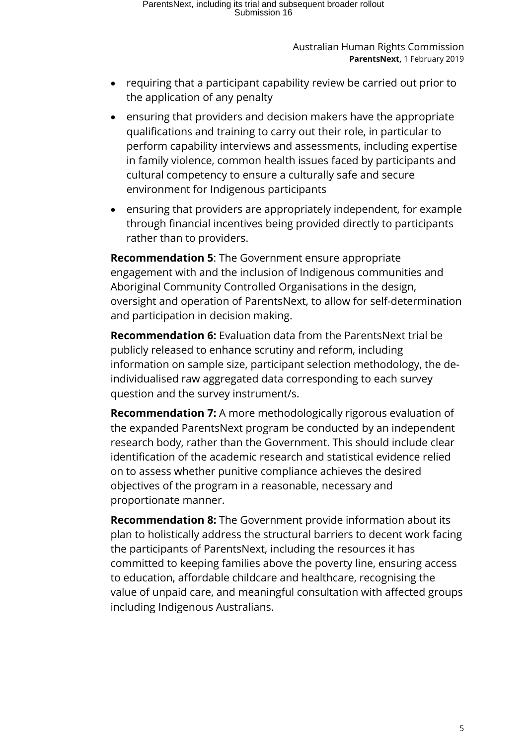- requiring that a participant capability review be carried out prior to the application of any penalty
- ensuring that providers and decision makers have the appropriate qualifications and training to carry out their role, in particular to perform capability interviews and assessments, including expertise in family violence, common health issues faced by participants and cultural competency to ensure a culturally safe and secure environment for Indigenous participants
- ensuring that providers are appropriately independent, for example through financial incentives being provided directly to participants rather than to providers.

**Recommendation 5**: The Government ensure appropriate engagement with and the inclusion of Indigenous communities and Aboriginal Community Controlled Organisations in the design, oversight and operation of ParentsNext, to allow for self-determination and participation in decision making.

**Recommendation 6:** Evaluation data from the ParentsNext trial be publicly released to enhance scrutiny and reform, including information on sample size, participant selection methodology, the deindividualised raw aggregated data corresponding to each survey question and the survey instrument/s.

**Recommendation 7:** A more methodologically rigorous evaluation of the expanded ParentsNext program be conducted by an independent research body, rather than the Government. This should include clear identification of the academic research and statistical evidence relied on to assess whether punitive compliance achieves the desired objectives of the program in a reasonable, necessary and proportionate manner.

**Recommendation 8:** The Government provide information about its plan to holistically address the structural barriers to decent work facing the participants of ParentsNext, including the resources it has committed to keeping families above the poverty line, ensuring access to education, affordable childcare and healthcare, recognising the value of unpaid care, and meaningful consultation with affected groups including Indigenous Australians.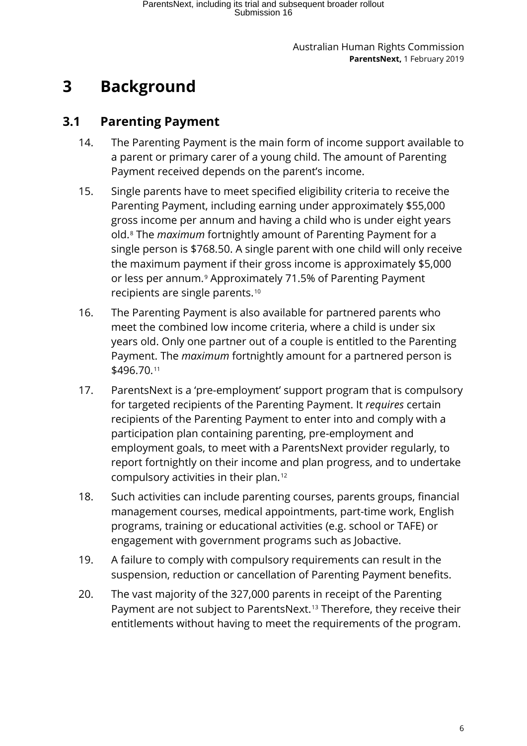# <span id="page-5-0"></span>**3 Background**

### <span id="page-5-1"></span>**3.1 Parenting Payment**

- 14. The Parenting Payment is the main form of income support available to a parent or primary carer of a young child. The amount of Parenting Payment received depends on the parent's income.
- 15. Single parents have to meet specified eligibility criteria to receive the Parenting Payment, including earning under approximately \$55,000 gross income per annum and having a child who is under eight years old.[8](#page-37-0) The *maximum* fortnightly amount of Parenting Payment for a single person is \$768.50. A single parent with one child will only receive the maximum payment if their gross income is approximately \$5,000 or less per annum.[9](#page-37-1) Approximately 71.5% of Parenting Payment recipients are single parents.[10](#page-37-2)
- 16. The Parenting Payment is also available for partnered parents who meet the combined low income criteria, where a child is under six years old. Only one partner out of a couple is entitled to the Parenting Payment. The *maximum* fortnightly amount for a partnered person is \$496.70.[11](#page-37-3)
- 17. ParentsNext is a 'pre-employment' support program that is compulsory for targeted recipients of the Parenting Payment. It *requires* certain recipients of the Parenting Payment to enter into and comply with a participation plan containing parenting, pre-employment and employment goals, to meet with a ParentsNext provider regularly, to report fortnightly on their income and plan progress, and to undertake compulsory activities in their plan.[12](#page-37-4)
- 18. Such activities can include parenting courses, parents groups, financial management courses, medical appointments, part-time work, English programs, training or educational activities (e.g. school or TAFE) or engagement with government programs such as Jobactive.
- 19. A failure to comply with compulsory requirements can result in the suspension, reduction or cancellation of Parenting Payment benefits.
- 20. The vast majority of the 327,000 parents in receipt of the Parenting Payment are not subject to ParentsNext.<sup>[13](#page-37-5)</sup> Therefore, they receive their entitlements without having to meet the requirements of the program.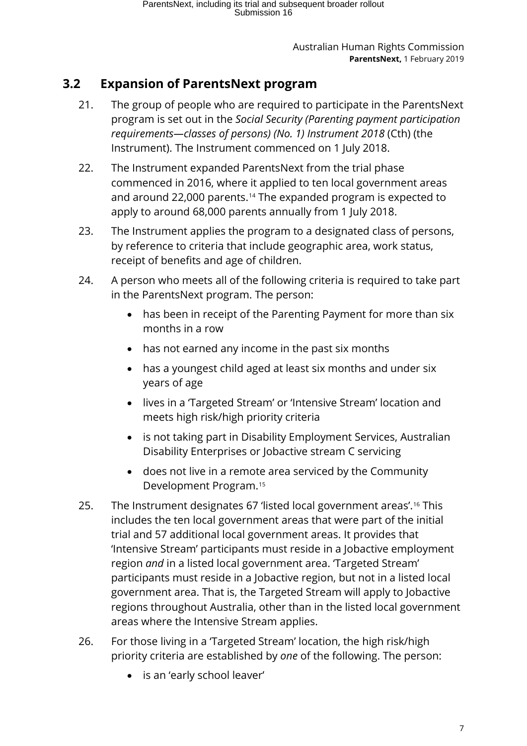### <span id="page-6-0"></span>**3.2 Expansion of ParentsNext program**

- 21. The group of people who are required to participate in the ParentsNext program is set out in the *Social Security (Parenting payment participation requirements—classes of persons) (No. 1) Instrument 2018* (Cth) (the Instrument). The Instrument commenced on 1 July 2018.
- 22. The Instrument expanded ParentsNext from the trial phase commenced in 2016, where it applied to ten local government areas and around 22,000 parents.[14](#page-38-0) The expanded program is expected to apply to around 68,000 parents annually from 1 July 2018.
- 23. The Instrument applies the program to a designated class of persons, by reference to criteria that include geographic area, work status, receipt of benefits and age of children.
- 24. A person who meets all of the following criteria is required to take part in the ParentsNext program. The person:
	- has been in receipt of the Parenting Payment for more than six months in a row
	- has not earned any income in the past six months
	- has a youngest child aged at least six months and under six years of age
	- lives in a 'Targeted Stream' or 'Intensive Stream' location and meets high risk/high priority criteria
	- is not taking part in Disability Employment Services, Australian Disability Enterprises or Jobactive stream C servicing
	- does not live in a remote area serviced by the Community Development Program.[15](#page-38-1)
- 25. The Instrument designates 67 'listed local government areas'.[16](#page-38-2) This includes the ten local government areas that were part of the initial trial and 57 additional local government areas. It provides that 'Intensive Stream' participants must reside in a Jobactive employment region *and* in a listed local government area. 'Targeted Stream' participants must reside in a Jobactive region, but not in a listed local government area. That is, the Targeted Stream will apply to Jobactive regions throughout Australia, other than in the listed local government areas where the Intensive Stream applies.
- 26. For those living in a 'Targeted Stream' location, the high risk/high priority criteria are established by *one* of the following. The person:
	- is an 'early school leaver'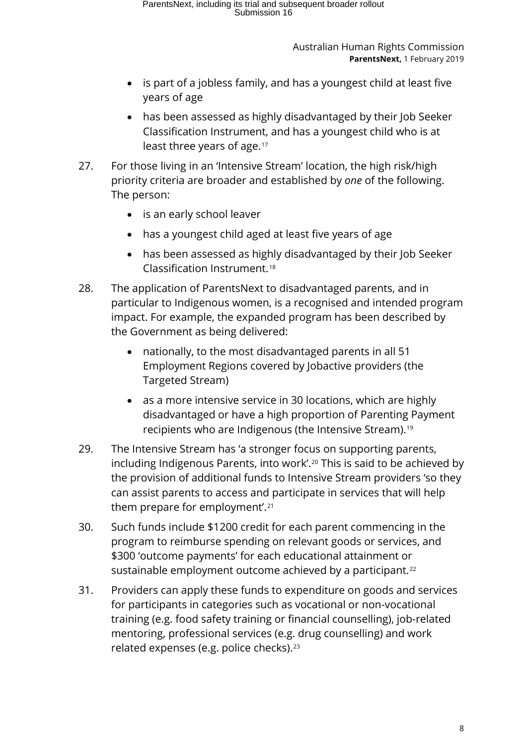- is part of a jobless family, and has a youngest child at least five years of age
- has been assessed as highly disadvantaged by their Job Seeker Classification Instrument, and has a youngest child who is at least three years of age.[17](#page-39-0)
- 27. For those living in an 'Intensive Stream' location, the high risk/high priority criteria are broader and established by *one* of the following. The person:
	- is an early school leaver
	- has a youngest child aged at least five years of age
	- has been assessed as highly disadvantaged by their Job Seeker Classification Instrument.[18](#page-39-1)
- 28. The application of ParentsNext to disadvantaged parents, and in particular to Indigenous women, is a recognised and intended program impact. For example, the expanded program has been described by the Government as being delivered:
	- nationally, to the most disadvantaged parents in all 51 Employment Regions covered by Jobactive providers (the Targeted Stream)
	- as a more intensive service in 30 locations, which are highly disadvantaged or have a high proportion of Parenting Payment recipients who are Indigenous (the Intensive Stream)[.19](#page-39-2)
- 29. The Intensive Stream has 'a stronger focus on supporting parents, including Indigenous Parents, into work'.<sup>[20](#page-39-3)</sup> This is said to be achieved by the provision of additional funds to Intensive Stream providers 'so they can assist parents to access and participate in services that will help them prepare for employment'.[21](#page-39-4)
- 30. Such funds include \$1200 credit for each parent commencing in the program to reimburse spending on relevant goods or services, and \$300 'outcome payments' for each educational attainment or sustainable employment outcome achieved by a participant.<sup>[22](#page-39-5)</sup>
- 31. Providers can apply these funds to expenditure on goods and services for participants in categories such as vocational or non-vocational training (e.g. food safety training or financial counselling), job-related mentoring, professional services (e.g. drug counselling) and work related expenses (e.g. police checks).[23](#page-39-6)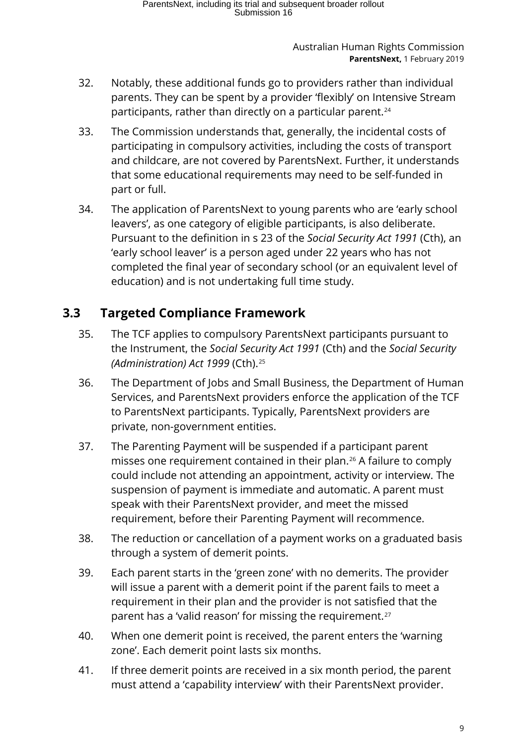- 32. Notably, these additional funds go to providers rather than individual parents. They can be spent by a provider 'flexibly' on Intensive Stream participants, rather than directly on a particular parent.<sup>[24](#page-40-0)</sup>
- 33. The Commission understands that, generally, the incidental costs of participating in compulsory activities, including the costs of transport and childcare, are not covered by ParentsNext. Further, it understands that some educational requirements may need to be self-funded in part or full.
- 34. The application of ParentsNext to young parents who are 'early school leavers', as one category of eligible participants, is also deliberate. Pursuant to the definition in s 23 of the *Social Security Act 1991* (Cth), an 'early school leaver' is a person aged under 22 years who has not completed the final year of secondary school (or an equivalent level of education) and is not undertaking full time study.

### <span id="page-8-0"></span>**3.3 Targeted Compliance Framework**

- 35. The TCF applies to compulsory ParentsNext participants pursuant to the Instrument, the *Social Security Act 1991* (Cth) and the *Social Security (Administration) Act 1999* (Cth).[25](#page-40-1)
- 36. The Department of Jobs and Small Business, the Department of Human Services, and ParentsNext providers enforce the application of the TCF to ParentsNext participants. Typically, ParentsNext providers are private, non-government entities.
- 37. The Parenting Payment will be suspended if a participant parent misses one requirement contained in their plan.[26](#page-40-2) A failure to comply could include not attending an appointment, activity or interview. The suspension of payment is immediate and automatic. A parent must speak with their ParentsNext provider, and meet the missed requirement, before their Parenting Payment will recommence.
- 38. The reduction or cancellation of a payment works on a graduated basis through a system of demerit points.
- 39. Each parent starts in the 'green zone' with no demerits. The provider will issue a parent with a demerit point if the parent fails to meet a requirement in their plan and the provider is not satisfied that the parent has a 'valid reason' for missing the requirement.<sup>[27](#page-40-3)</sup>
- 40. When one demerit point is received, the parent enters the 'warning zone'. Each demerit point lasts six months.
- 41. If three demerit points are received in a six month period, the parent must attend a 'capability interview' with their ParentsNext provider.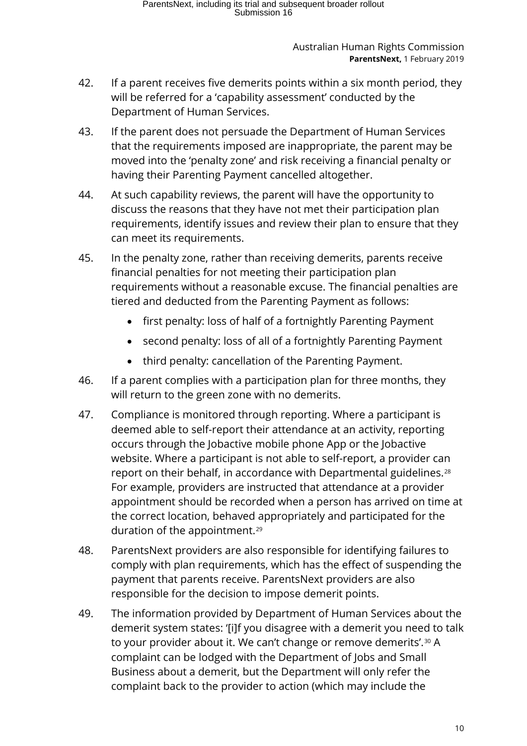- 42. If a parent receives five demerits points within a six month period, they will be referred for a 'capability assessment' conducted by the Department of Human Services.
- 43. If the parent does not persuade the Department of Human Services that the requirements imposed are inappropriate, the parent may be moved into the 'penalty zone' and risk receiving a financial penalty or having their Parenting Payment cancelled altogether.
- 44. At such capability reviews, the parent will have the opportunity to discuss the reasons that they have not met their participation plan requirements, identify issues and review their plan to ensure that they can meet its requirements.
- 45. In the penalty zone, rather than receiving demerits, parents receive financial penalties for not meeting their participation plan requirements without a reasonable excuse. The financial penalties are tiered and deducted from the Parenting Payment as follows:
	- first penalty: loss of half of a fortnightly Parenting Payment
	- second penalty: loss of all of a fortnightly Parenting Payment
	- third penalty: cancellation of the Parenting Payment.
- 46. If a parent complies with a participation plan for three months, they will return to the green zone with no demerits.
- 47. Compliance is monitored through reporting. Where a participant is deemed able to self-report their attendance at an activity, reporting occurs through the Jobactive mobile phone App or the Jobactive website. Where a participant is not able to self-report, a provider can report on their behalf, in accordance with Departmental guidelines.[28](#page-41-0) For example, providers are instructed that attendance at a provider appointment should be recorded when a person has arrived on time at the correct location, behaved appropriately and participated for the duration of the appointment.[29](#page-41-1)
- 48. ParentsNext providers are also responsible for identifying failures to comply with plan requirements, which has the effect of suspending the payment that parents receive. ParentsNext providers are also responsible for the decision to impose demerit points.
- 49. The information provided by Department of Human Services about the demerit system states: '[i]f you disagree with a demerit you need to talk to your provider about it. We can't change or remove demerits'.<sup>[30](#page-41-2)</sup> A complaint can be lodged with the Department of Jobs and Small Business about a demerit, but the Department will only refer the complaint back to the provider to action (which may include the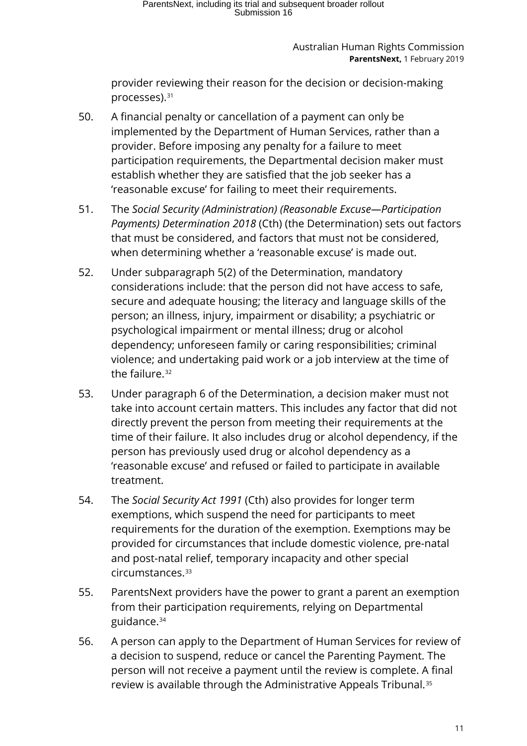provider reviewing their reason for the decision or decision-making processes).[31](#page-41-3)

- 50. A financial penalty or cancellation of a payment can only be implemented by the Department of Human Services, rather than a provider. Before imposing any penalty for a failure to meet participation requirements, the Departmental decision maker must establish whether they are satisfied that the job seeker has a 'reasonable excuse' for failing to meet their requirements.
- 51. The *Social Security (Administration) (Reasonable Excuse—Participation Payments) Determination 2018* (Cth) (the Determination) sets out factors that must be considered, and factors that must not be considered, when determining whether a 'reasonable excuse' is made out.
- 52. Under subparagraph 5(2) of the Determination, mandatory considerations include: that the person did not have access to safe, secure and adequate housing; the literacy and language skills of the person; an illness, injury, impairment or disability; a psychiatric or psychological impairment or mental illness; drug or alcohol dependency; unforeseen family or caring responsibilities; criminal violence; and undertaking paid work or a job interview at the time of the failure.<sup>[32](#page-41-4)</sup>
- 53. Under paragraph 6 of the Determination, a decision maker must not take into account certain matters. This includes any factor that did not directly prevent the person from meeting their requirements at the time of their failure. It also includes drug or alcohol dependency, if the person has previously used drug or alcohol dependency as a 'reasonable excuse' and refused or failed to participate in available treatment.
- 54. The *Social Security Act 1991* (Cth) also provides for longer term exemptions, which suspend the need for participants to meet requirements for the duration of the exemption. Exemptions may be provided for circumstances that include domestic violence, pre-natal and post-natal relief, temporary incapacity and other special circumstances.[33](#page-41-5)
- 55. ParentsNext providers have the power to grant a parent an exemption from their participation requirements, relying on Departmental guidance.[34](#page-41-6)
- 56. A person can apply to the Department of Human Services for review of a decision to suspend, reduce or cancel the Parenting Payment. The person will not receive a payment until the review is complete. A final review is available through the Administrative Appeals Tribunal.[35](#page-41-7)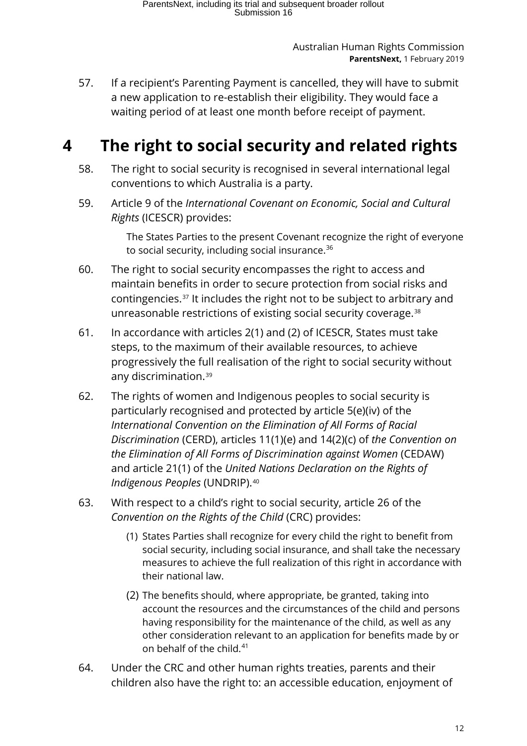57. If a recipient's Parenting Payment is cancelled, they will have to submit a new application to re-establish their eligibility. They would face a waiting period of at least one month before receipt of payment.

# <span id="page-11-0"></span>**4 The right to social security and related rights**

- 58. The right to social security is recognised in several international legal conventions to which Australia is a party.
- 59. Article 9 of the *International Covenant on Economic, Social and Cultural Rights* (ICESCR) provides:

The States Parties to the present Covenant recognize the right of everyone to social security, including social insurance.<sup>[36](#page-41-8)</sup>

- 60. The right to social security encompasses the right to access and maintain benefits in order to secure protection from social risks and contingencies.[37](#page-41-9) It includes the right not to be subject to arbitrary and unreasonable restrictions of existing social security coverage.[38](#page-41-10)
- 61. In accordance with articles 2(1) and (2) of ICESCR, States must take steps, to the maximum of their available resources, to achieve progressively the full realisation of the right to social security without any discrimination.[39](#page-41-11)
- 62. The rights of women and Indigenous peoples to social security is particularly recognised and protected by article 5(e)(iv) of the *International Convention on the Elimination of All Forms of Racial Discrimination* (CERD), articles 11(1)(e) and 14(2)(c) of *the Convention on the Elimination of All Forms of Discrimination against Women* (CEDAW) and article 21(1) of the *United Nations Declaration on the Rights of Indigenous Peoples* (UNDRIP).[40](#page-41-12)
- 63. With respect to a child's right to social security, article 26 of the *Convention on the Rights of the Child* (CRC) provides:
	- (1) States Parties shall recognize for every child the right to benefit from social security, including social insurance, and shall take the necessary measures to achieve the full realization of this right in accordance with their national law.
	- (2) The benefits should, where appropriate, be granted, taking into account the resources and the circumstances of the child and persons having responsibility for the maintenance of the child, as well as any other consideration relevant to an application for benefits made by or on behalf of the child.<sup>[41](#page-41-13)</sup>
- 64. Under the CRC and other human rights treaties, parents and their children also have the right to: an accessible education, enjoyment of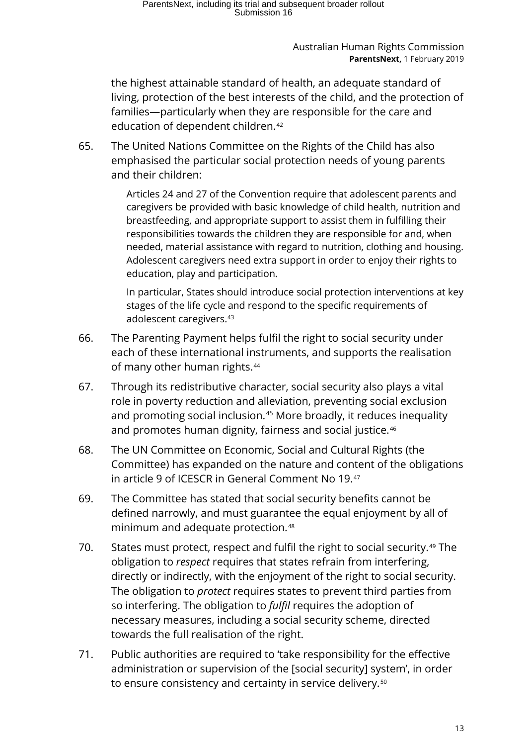the highest attainable standard of health, an adequate standard of living, protection of the best interests of the child, and the protection of families—particularly when they are responsible for the care and education of dependent children.<sup>[42](#page-41-14)</sup>

65. The United Nations Committee on the Rights of the Child has also emphasised the particular social protection needs of young parents and their children:

> Articles 24 and 27 of the Convention require that adolescent parents and caregivers be provided with basic knowledge of child health, nutrition and breastfeeding, and appropriate support to assist them in fulfilling their responsibilities towards the children they are responsible for and, when needed, material assistance with regard to nutrition, clothing and housing. Adolescent caregivers need extra support in order to enjoy their rights to education, play and participation.

> In particular, States should introduce social protection interventions at key stages of the life cycle and respond to the specific requirements of adolescent caregivers.<sup>[43](#page-41-15)</sup>

- 66. The Parenting Payment helps fulfil the right to social security under each of these international instruments, and supports the realisation of many other human rights.<sup>[44](#page-41-16)</sup>
- 67. Through its redistributive character, social security also plays a vital role in poverty reduction and alleviation, preventing social exclusion and promoting social inclusion.<sup>[45](#page-41-17)</sup> More broadly, it reduces inequality and promotes human dignity, fairness and social justice.<sup>[46](#page-41-18)</sup>
- 68. The UN Committee on Economic, Social and Cultural Rights (the Committee) has expanded on the nature and content of the obligations in article 9 of ICESCR in General Comment No 19.[47](#page-41-1)
- 69. The Committee has stated that social security benefits cannot be defined narrowly, and must guarantee the equal enjoyment by all of minimum and adequate protection.[48](#page-41-19)
- 70. States must protect, respect and fulfil the right to social security.<sup>[49](#page-41-20)</sup> The obligation to *respect* requires that states refrain from interfering, directly or indirectly, with the enjoyment of the right to social security. The obligation to *protect* requires states to prevent third parties from so interfering. The obligation to *fulfil* requires the adoption of necessary measures, including a social security scheme, directed towards the full realisation of the right.
- 71. Public authorities are required to 'take responsibility for the effective administration or supervision of the [social security] system', in order to ensure consistency and certainty in service delivery.<sup>[50](#page-41-21)</sup>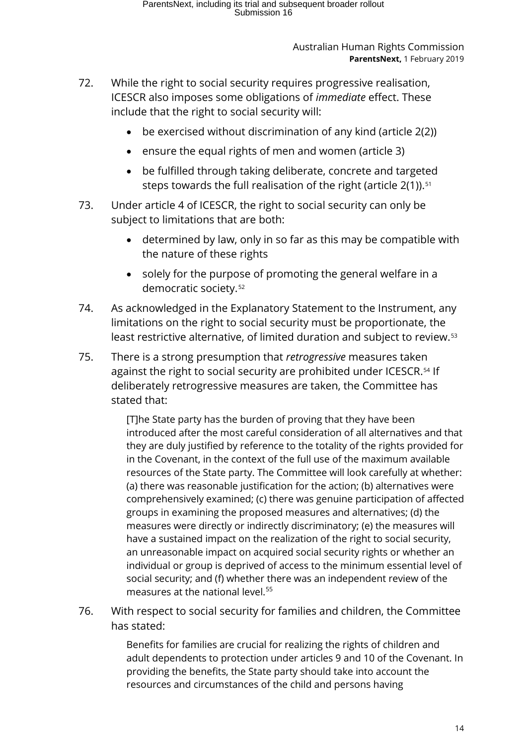- 72. While the right to social security requires progressive realisation, ICESCR also imposes some obligations of *immediate* effect. These include that the right to social security will:
	- be exercised without discrimination of any kind (article 2(2))
	- ensure the equal rights of men and women (article 3)
	- be fulfilled through taking deliberate, concrete and targeted steps towards the full realisation of the right (article  $2(1)$ ).<sup>51</sup>
- 73. Under article 4 of ICESCR, the right to social security can only be subject to limitations that are both:
	- determined by law, only in so far as this may be compatible with the nature of these rights
	- solely for the purpose of promoting the general welfare in a democratic society.[52](#page-41-23)
- 74. As acknowledged in the Explanatory Statement to the Instrument, any limitations on the right to social security must be proportionate, the least restrictive alternative, of limited duration and subject to review.<sup>[53](#page-41-6)</sup>
- 75. There is a strong presumption that *retrogressive* measures taken against the right to social security are prohibited under ICESCR.<sup>[54](#page-41-7)</sup> If deliberately retrogressive measures are taken, the Committee has stated that:

[T]he State party has the burden of proving that they have been introduced after the most careful consideration of all alternatives and that they are duly justified by reference to the totality of the rights provided for in the Covenant, in the context of the full use of the maximum available resources of the State party. The Committee will look carefully at whether: (a) there was reasonable justification for the action; (b) alternatives were comprehensively examined; (c) there was genuine participation of affected groups in examining the proposed measures and alternatives; (d) the measures were directly or indirectly discriminatory; (e) the measures will have a sustained impact on the realization of the right to social security, an unreasonable impact on acquired social security rights or whether an individual or group is deprived of access to the minimum essential level of social security; and (f) whether there was an independent review of the measures at the national level.<sup>[55](#page-41-24)</sup>

76. With respect to social security for families and children, the Committee has stated:

> Benefits for families are crucial for realizing the rights of children and adult dependents to protection under articles 9 and 10 of the Covenant. In providing the benefits, the State party should take into account the resources and circumstances of the child and persons having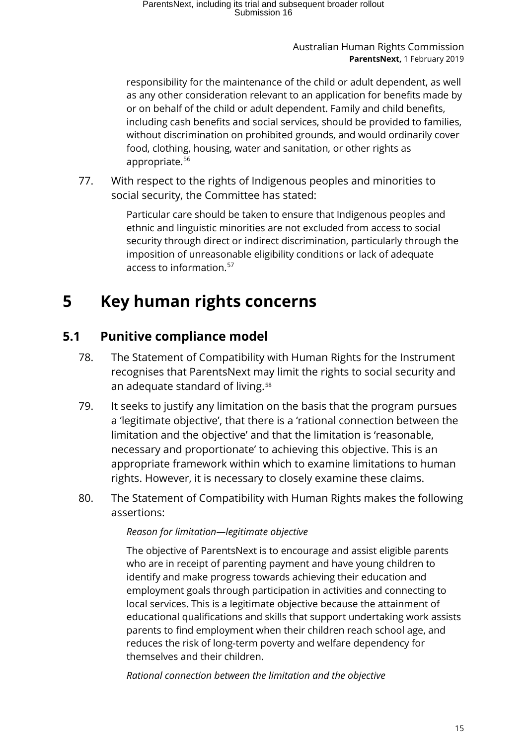responsibility for the maintenance of the child or adult dependent, as well as any other consideration relevant to an application for benefits made by or on behalf of the child or adult dependent. Family and child benefits, including cash benefits and social services, should be provided to families, without discrimination on prohibited grounds, and would ordinarily cover food, clothing, housing, water and sanitation, or other rights as appropriate.<sup>[56](#page-41-25)</sup>

77. With respect to the rights of Indigenous peoples and minorities to social security, the Committee has stated:

> Particular care should be taken to ensure that Indigenous peoples and ethnic and linguistic minorities are not excluded from access to social security through direct or indirect discrimination, particularly through the imposition of unreasonable eligibility conditions or lack of adequate access to information.[57](#page-41-26)

# <span id="page-14-0"></span>**5 Key human rights concerns**

### <span id="page-14-1"></span>**5.1 Punitive compliance model**

- 78. The Statement of Compatibility with Human Rights for the Instrument recognises that ParentsNext may limit the rights to social security and an adequate standard of living.<sup>[58](#page-41-27)</sup>
- 79. It seeks to justify any limitation on the basis that the program pursues a 'legitimate objective', that there is a 'rational connection between the limitation and the objective' and that the limitation is 'reasonable, necessary and proportionate' to achieving this objective. This is an appropriate framework within which to examine limitations to human rights. However, it is necessary to closely examine these claims.
- 80. The Statement of Compatibility with Human Rights makes the following assertions:

### *Reason for limitation—legitimate objective*

The objective of ParentsNext is to encourage and assist eligible parents who are in receipt of parenting payment and have young children to identify and make progress towards achieving their education and employment goals through participation in activities and connecting to local services. This is a legitimate objective because the attainment of educational qualifications and skills that support undertaking work assists parents to find employment when their children reach school age, and reduces the risk of long-term poverty and welfare dependency for themselves and their children.

*Rational connection between the limitation and the objective*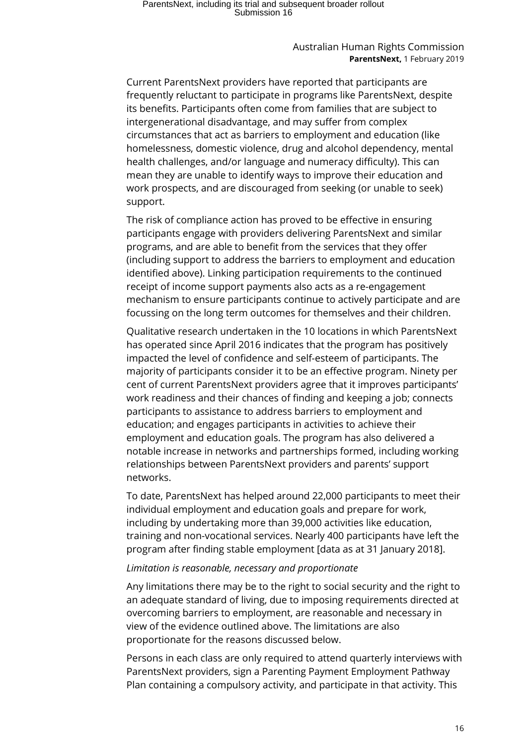# ParentsNext, including its trial and subsequent broader rollout Submission 16

#### Australian Human Rights Commission **ParentsNext,** 1 February 2019

Current ParentsNext providers have reported that participants are frequently reluctant to participate in programs like ParentsNext, despite its benefits. Participants often come from families that are subject to intergenerational disadvantage, and may suffer from complex circumstances that act as barriers to employment and education (like homelessness, domestic violence, drug and alcohol dependency, mental health challenges, and/or language and numeracy difficulty). This can mean they are unable to identify ways to improve their education and work prospects, and are discouraged from seeking (or unable to seek) support.

The risk of compliance action has proved to be effective in ensuring participants engage with providers delivering ParentsNext and similar programs, and are able to benefit from the services that they offer (including support to address the barriers to employment and education identified above). Linking participation requirements to the continued receipt of income support payments also acts as a re-engagement mechanism to ensure participants continue to actively participate and are focussing on the long term outcomes for themselves and their children.

Qualitative research undertaken in the 10 locations in which ParentsNext has operated since April 2016 indicates that the program has positively impacted the level of confidence and self-esteem of participants. The majority of participants consider it to be an effective program. Ninety per cent of current ParentsNext providers agree that it improves participants' work readiness and their chances of finding and keeping a job; connects participants to assistance to address barriers to employment and education; and engages participants in activities to achieve their employment and education goals. The program has also delivered a notable increase in networks and partnerships formed, including working relationships between ParentsNext providers and parents' support networks.

To date, ParentsNext has helped around 22,000 participants to meet their individual employment and education goals and prepare for work, including by undertaking more than 39,000 activities like education, training and non-vocational services. Nearly 400 participants have left the program after finding stable employment [data as at 31 January 2018].

#### *Limitation is reasonable, necessary and proportionate*

Any limitations there may be to the right to social security and the right to an adequate standard of living, due to imposing requirements directed at overcoming barriers to employment, are reasonable and necessary in view of the evidence outlined above. The limitations are also proportionate for the reasons discussed below.

Persons in each class are only required to attend quarterly interviews with ParentsNext providers, sign a Parenting Payment Employment Pathway Plan containing a compulsory activity, and participate in that activity. This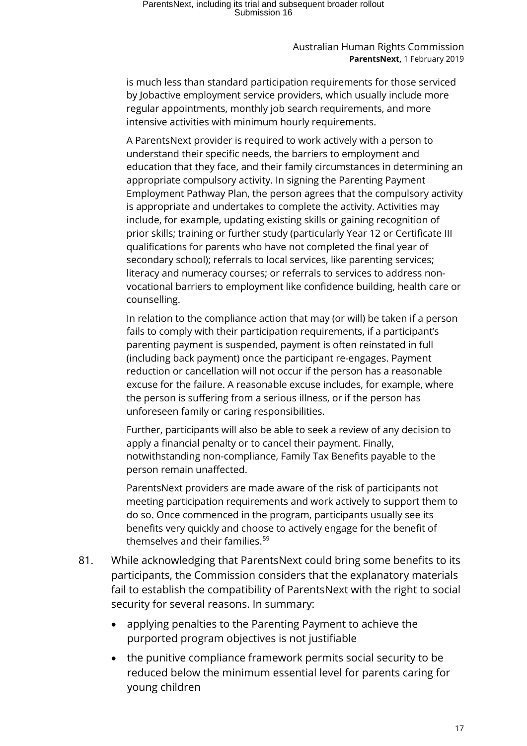# ParentsNext, including its trial and subsequent broader rollout Submission 16

Australian Human Rights Commission **ParentsNext,** 1 February 2019

is much less than standard participation requirements for those serviced by Jobactive employment service providers, which usually include more regular appointments, monthly job search requirements, and more intensive activities with minimum hourly requirements.

A ParentsNext provider is required to work actively with a person to understand their specific needs, the barriers to employment and education that they face, and their family circumstances in determining an appropriate compulsory activity. In signing the Parenting Payment Employment Pathway Plan, the person agrees that the compulsory activity is appropriate and undertakes to complete the activity. Activities may include, for example, updating existing skills or gaining recognition of prior skills; training or further study (particularly Year 12 or Certificate III qualifications for parents who have not completed the final year of secondary school); referrals to local services, like parenting services; literacy and numeracy courses; or referrals to services to address nonvocational barriers to employment like confidence building, health care or counselling.

In relation to the compliance action that may (or will) be taken if a person fails to comply with their participation requirements, if a participant's parenting payment is suspended, payment is often reinstated in full (including back payment) once the participant re-engages. Payment reduction or cancellation will not occur if the person has a reasonable excuse for the failure. A reasonable excuse includes, for example, where the person is suffering from a serious illness, or if the person has unforeseen family or caring responsibilities.

Further, participants will also be able to seek a review of any decision to apply a financial penalty or to cancel their payment. Finally, notwithstanding non-compliance, Family Tax Benefits payable to the person remain unaffected.

ParentsNext providers are made aware of the risk of participants not meeting participation requirements and work actively to support them to do so. Once commenced in the program, participants usually see its benefits very quickly and choose to actively engage for the benefit of themselves and their families.<sup>[59](#page-41-28)</sup>

- 81. While acknowledging that ParentsNext could bring some benefits to its participants, the Commission considers that the explanatory materials fail to establish the compatibility of ParentsNext with the right to social security for several reasons. In summary:
	- applying penalties to the Parenting Payment to achieve the purported program objectives is not justifiable
	- the punitive compliance framework permits social security to be reduced below the minimum essential level for parents caring for young children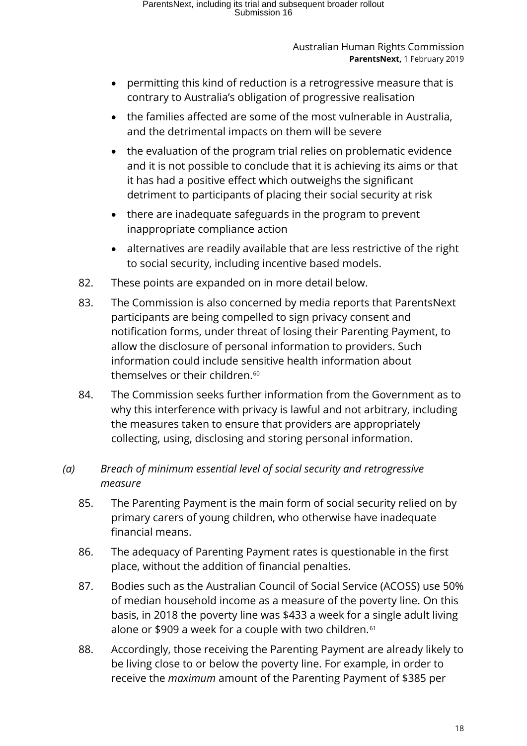- permitting this kind of reduction is a retrogressive measure that is contrary to Australia's obligation of progressive realisation
- the families affected are some of the most vulnerable in Australia, and the detrimental impacts on them will be severe
- the evaluation of the program trial relies on problematic evidence and it is not possible to conclude that it is achieving its aims or that it has had a positive effect which outweighs the significant detriment to participants of placing their social security at risk
- there are inadequate safeguards in the program to prevent inappropriate compliance action
- alternatives are readily available that are less restrictive of the right to social security, including incentive based models.
- 82. These points are expanded on in more detail below.
- 83. The Commission is also concerned by media reports that ParentsNext participants are being compelled to sign privacy consent and notification forms, under threat of losing their Parenting Payment, to allow the disclosure of personal information to providers. Such information could include sensitive health information about themselves or their children.<sup>[60](#page-41-29)</sup>
- 84. The Commission seeks further information from the Government as to why this interference with privacy is lawful and not arbitrary, including the measures taken to ensure that providers are appropriately collecting, using, disclosing and storing personal information.

### <span id="page-17-0"></span>*(a) Breach of minimum essential level of social security and retrogressive measure*

- 85. The Parenting Payment is the main form of social security relied on by primary carers of young children, who otherwise have inadequate financial means.
- 86. The adequacy of Parenting Payment rates is questionable in the first place, without the addition of financial penalties.
- 87. Bodies such as the Australian Council of Social Service (ACOSS) use 50% of median household income as a measure of the poverty line. On this basis, in 2018 the poverty line was \$433 a week for a single adult living alone or \$909 a week for a couple with two children.<sup>[61](#page-41-30)</sup>
- 88. Accordingly, those receiving the Parenting Payment are already likely to be living close to or below the poverty line. For example, in order to receive the *maximum* amount of the Parenting Payment of \$385 per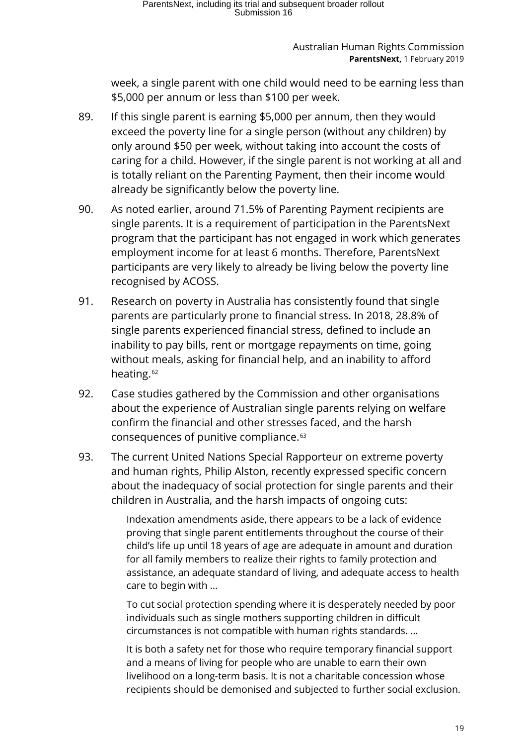week, a single parent with one child would need to be earning less than \$5,000 per annum or less than \$100 per week.

- 89. If this single parent is earning \$5,000 per annum, then they would exceed the poverty line for a single person (without any children) by only around \$50 per week, without taking into account the costs of caring for a child. However, if the single parent is not working at all and is totally reliant on the Parenting Payment, then their income would already be significantly below the poverty line.
- 90. As noted earlier, around 71.5% of Parenting Payment recipients are single parents. It is a requirement of participation in the ParentsNext program that the participant has not engaged in work which generates employment income for at least 6 months. Therefore, ParentsNext participants are very likely to already be living below the poverty line recognised by ACOSS.
- 91. Research on poverty in Australia has consistently found that single parents are particularly prone to financial stress. In 2018, 28.8% of single parents experienced financial stress, defined to include an inability to pay bills, rent or mortgage repayments on time, going without meals, asking for financial help, and an inability to afford heating.<sup>[62](#page-41-31)</sup>
- 92. Case studies gathered by the Commission and other organisations about the experience of Australian single parents relying on welfare confirm the financial and other stresses faced, and the harsh consequences of punitive compliance.[63](#page-41-15)
- 93. The current United Nations Special Rapporteur on extreme poverty and human rights, Philip Alston, recently expressed specific concern about the inadequacy of social protection for single parents and their children in Australia, and the harsh impacts of ongoing cuts:

Indexation amendments aside, there appears to be a lack of evidence proving that single parent entitlements throughout the course of their child's life up until 18 years of age are adequate in amount and duration for all family members to realize their rights to family protection and assistance, an adequate standard of living, and adequate access to health care to begin with …

To cut social protection spending where it is desperately needed by poor individuals such as single mothers supporting children in difficult circumstances is not compatible with human rights standards. …

It is both a safety net for those who require temporary financial support and a means of living for people who are unable to earn their own livelihood on a long-term basis. It is not a charitable concession whose recipients should be demonised and subjected to further social exclusion.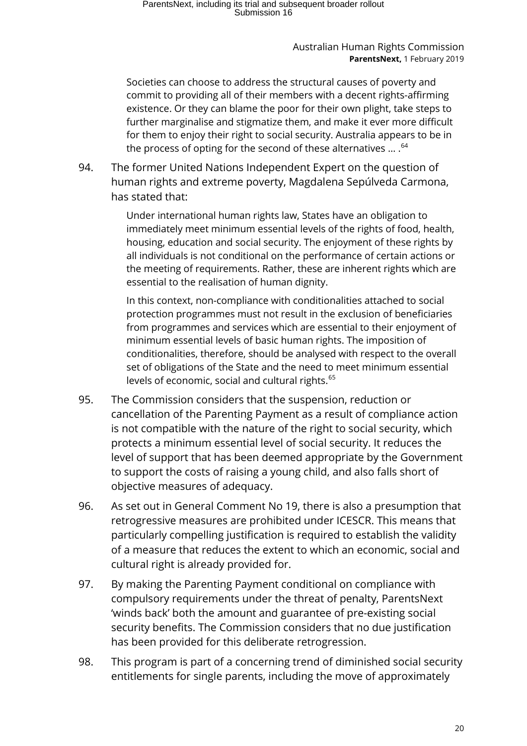# ParentsNext, including its trial and subsequent broader rollout Submission 16

#### Australian Human Rights Commission **ParentsNext,** 1 February 2019

Societies can choose to address the structural causes of poverty and commit to providing all of their members with a decent rights-affirming existence. Or they can blame the poor for their own plight, take steps to further marginalise and stigmatize them, and make it ever more difficult for them to enjoy their right to social security. Australia appears to be in the process of opting for the second of these alternatives ... . <sup>[64](#page-41-32)</sup>

94. The former United Nations Independent Expert on the question of human rights and extreme poverty, Magdalena [Sepúlveda Carmona,](https://papers.ssrn.com/sol3/cf_dev/AbsByAuth.cfm?per_id=1872261) has stated that:

> Under international human rights law, States have an obligation to immediately meet minimum essential levels of the rights of food, health, housing, education and social security. The enjoyment of these rights by all individuals is not conditional on the performance of certain actions or the meeting of requirements. Rather, these are inherent rights which are essential to the realisation of human dignity.

> In this context, non-compliance with conditionalities attached to social protection programmes must not result in the exclusion of beneficiaries from programmes and services which are essential to their enjoyment of minimum essential levels of basic human rights. The imposition of conditionalities, therefore, should be analysed with respect to the overall set of obligations of the State and the need to meet minimum essential levels of economic, social and cultural rights.<sup>[65](#page-41-17)</sup>

- 95. The Commission considers that the suspension, reduction or cancellation of the Parenting Payment as a result of compliance action is not compatible with the nature of the right to social security, which protects a minimum essential level of social security. It reduces the level of support that has been deemed appropriate by the Government to support the costs of raising a young child, and also falls short of objective measures of adequacy.
- 96. As set out in General Comment No 19, there is also a presumption that retrogressive measures are prohibited under ICESCR. This means that particularly compelling justification is required to establish the validity of a measure that reduces the extent to which an economic, social and cultural right is already provided for.
- 97. By making the Parenting Payment conditional on compliance with compulsory requirements under the threat of penalty, ParentsNext 'winds back' both the amount and guarantee of pre-existing social security benefits. The Commission considers that no due justification has been provided for this deliberate retrogression.
- 98. This program is part of a concerning trend of diminished social security entitlements for single parents, including the move of approximately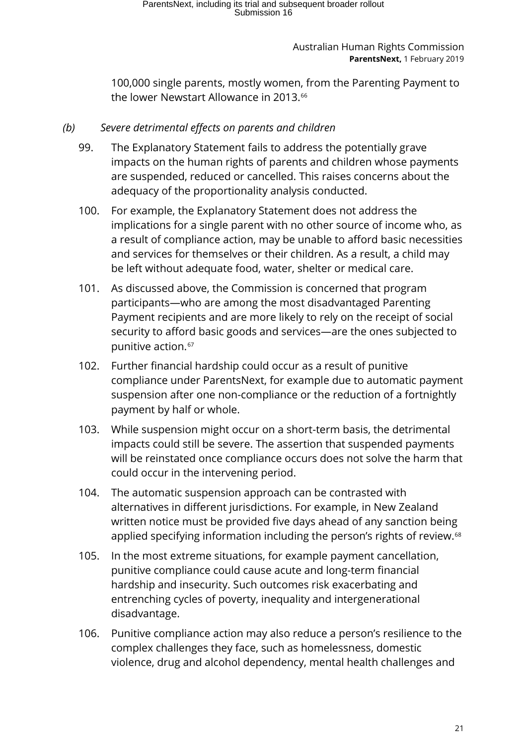100,000 single parents, mostly women, from the Parenting Payment to the lower Newstart Allowance in 2013.<sup>[66](#page-41-33)</sup>

### <span id="page-20-0"></span>*(b) Severe detrimental effects on parents and children*

- 99. The Explanatory Statement fails to address the potentially grave impacts on the human rights of parents and children whose payments are suspended, reduced or cancelled. This raises concerns about the adequacy of the proportionality analysis conducted.
- 100. For example, the Explanatory Statement does not address the implications for a single parent with no other source of income who, as a result of compliance action, may be unable to afford basic necessities and services for themselves or their children. As a result, a child may be left without adequate food, water, shelter or medical care.
- 101. As discussed above, the Commission is concerned that program participants—who are among the most disadvantaged Parenting Payment recipients and are more likely to rely on the receipt of social security to afford basic goods and services—are the ones subjected to punitive action.<sup>[67](#page-41-34)</sup>
- 102. Further financial hardship could occur as a result of punitive compliance under ParentsNext, for example due to automatic payment suspension after one non-compliance or the reduction of a fortnightly payment by half or whole.
- 103. While suspension might occur on a short-term basis, the detrimental impacts could still be severe. The assertion that suspended payments will be reinstated once compliance occurs does not solve the harm that could occur in the intervening period.
- 104. The automatic suspension approach can be contrasted with alternatives in different jurisdictions. For example, in New Zealand written notice must be provided five days ahead of any sanction being applied specifying information including the person's rights of review.<sup>[68](#page-41-35)</sup>
- 105. In the most extreme situations, for example payment cancellation, punitive compliance could cause acute and long-term financial hardship and insecurity. Such outcomes risk exacerbating and entrenching cycles of poverty, inequality and intergenerational disadvantage.
- 106. Punitive compliance action may also reduce a person's resilience to the complex challenges they face, such as homelessness, domestic violence, drug and alcohol dependency, mental health challenges and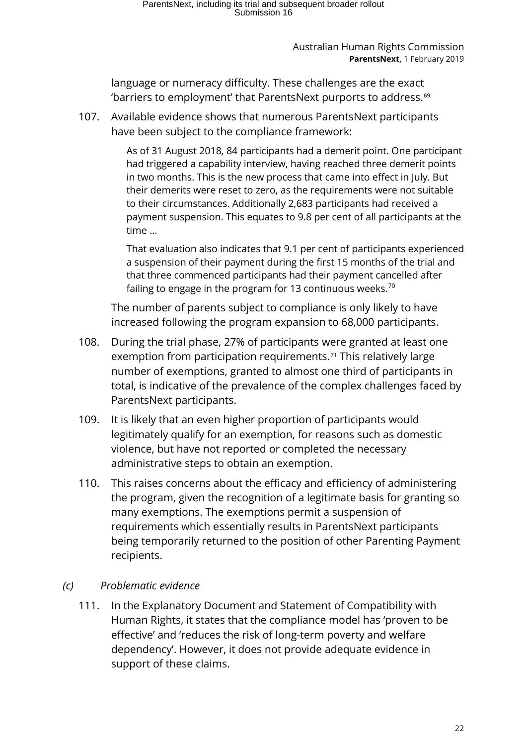language or numeracy difficulty. These challenges are the exact 'barriers to employment' that ParentsNext purports to address.[69](#page-41-36)

107. Available evidence shows that numerous ParentsNext participants have been subject to the compliance framework:

> As of 31 August 2018, 84 participants had a demerit point. One participant had triggered a capability interview, having reached three demerit points in two months. This is the new process that came into effect in July. But their demerits were reset to zero, as the requirements were not suitable to their circumstances. Additionally 2,683 participants had received a payment suspension. This equates to 9.8 per cent of all participants at the time …

> That evaluation also indicates that 9.1 per cent of participants experienced a suspension of their payment during the first 15 months of the trial and that three commenced participants had their payment cancelled after failing to engage in the program for 13 continuous weeks.<sup>[70](#page-41-37)</sup>

The number of parents subject to compliance is only likely to have increased following the program expansion to 68,000 participants.

- 108. During the trial phase, 27% of participants were granted at least one exemption from participation requirements.<sup>[71](#page-41-38)</sup> This relatively large number of exemptions, granted to almost one third of participants in total, is indicative of the prevalence of the complex challenges faced by ParentsNext participants.
- 109. It is likely that an even higher proportion of participants would legitimately qualify for an exemption, for reasons such as domestic violence, but have not reported or completed the necessary administrative steps to obtain an exemption.
- 110. This raises concerns about the efficacy and efficiency of administering the program, given the recognition of a legitimate basis for granting so many exemptions. The exemptions permit a suspension of requirements which essentially results in ParentsNext participants being temporarily returned to the position of other Parenting Payment recipients.

### <span id="page-21-0"></span>*(c) Problematic evidence*

111. In the Explanatory Document and Statement of Compatibility with Human Rights, it states that the compliance model has 'proven to be effective' and 'reduces the risk of long-term poverty and welfare dependency'. However, it does not provide adequate evidence in support of these claims.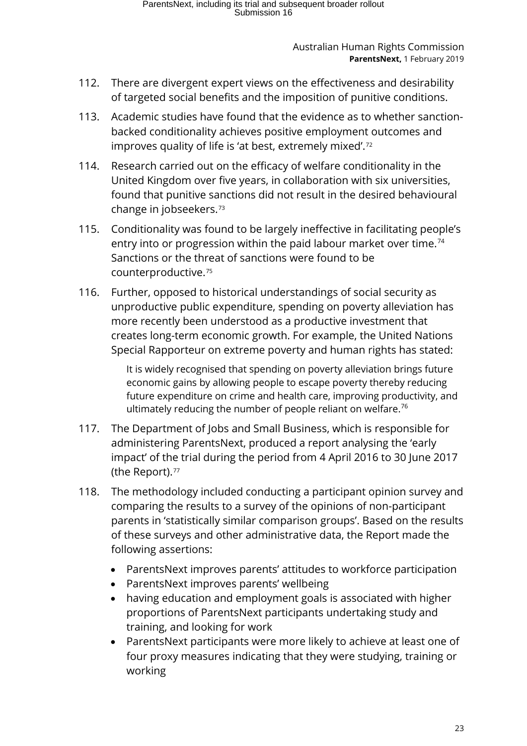- 112. There are divergent expert views on the effectiveness and desirability of targeted social benefits and the imposition of punitive conditions.
- 113. Academic studies have found that the evidence as to whether sanctionbacked conditionality achieves positive employment outcomes and improves quality of life is 'at best, extremely mixed'.[72](#page-41-39)
- 114. Research carried out on the efficacy of welfare conditionality in the United Kingdom over five years, in collaboration with six universities, found that punitive sanctions did not result in the desired behavioural change in jobseekers.[73](#page-41-40)
- 115. Conditionality was found to be largely ineffective in facilitating people's entry into or progression within the paid labour market over time.<sup>[74](#page-41-41)</sup> Sanctions or the threat of sanctions were found to be counterproductive.[75](#page-41-42)
- 116. Further, opposed to historical understandings of social security as unproductive public expenditure, spending on poverty alleviation has more recently been understood as a productive investment that creates long-term economic growth. For example, the United Nations Special Rapporteur on extreme poverty and human rights has stated:

It is widely recognised that spending on poverty alleviation brings future economic gains by allowing people to escape poverty thereby reducing future expenditure on crime and health care, improving productivity, and ultimately reducing the number of people reliant on welfare.<sup>[76](#page-41-43)</sup>

- 117. The Department of Jobs and Small Business, which is responsible for administering ParentsNext, produced a report analysing the 'early impact' of the trial during the period from 4 April 2016 to 30 June 2017 (the Report).<sup>[77](#page-41-44)</sup>
- 118. The methodology included conducting a participant opinion survey and comparing the results to a survey of the opinions of non-participant parents in 'statistically similar comparison groups'. Based on the results of these surveys and other administrative data, the Report made the following assertions:
	- ParentsNext improves parents' attitudes to workforce participation
	- ParentsNext improves parents' wellbeing
	- having education and employment goals is associated with higher proportions of ParentsNext participants undertaking study and training, and looking for work
	- ParentsNext participants were more likely to achieve at least one of four proxy measures indicating that they were studying, training or working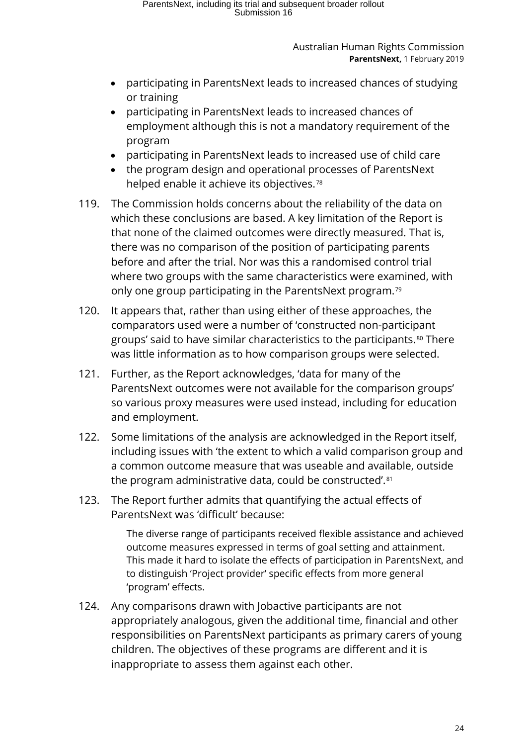- participating in ParentsNext leads to increased chances of studying or training
- participating in ParentsNext leads to increased chances of employment although this is not a mandatory requirement of the program
- participating in ParentsNext leads to increased use of child care
- the program design and operational processes of ParentsNext helped enable it achieve its objectives.<sup>[78](#page-41-45)</sup>
- 119. The Commission holds concerns about the reliability of the data on which these conclusions are based. A key limitation of the Report is that none of the claimed outcomes were directly measured. That is, there was no comparison of the position of participating parents before and after the trial. Nor was this a randomised control trial where two groups with the same characteristics were examined, with only one group participating in the ParentsNext program.[79](#page-41-46)
- 120. It appears that, rather than using either of these approaches, the comparators used were a number of 'constructed non-participant groups' said to have similar characteristics to the participants.<sup>[80](#page-41-47)</sup> There was little information as to how comparison groups were selected.
- 121. Further, as the Report acknowledges, 'data for many of the ParentsNext outcomes were not available for the comparison groups' so various proxy measures were used instead, including for education and employment.
- 122. Some limitations of the analysis are acknowledged in the Report itself, including issues with 'the extent to which a valid comparison group and a common outcome measure that was useable and available, outside the program administrative data, could be constructed'.<sup>[81](#page-41-48)</sup>
- 123. The Report further admits that quantifying the actual effects of ParentsNext was 'difficult' because:

The diverse range of participants received flexible assistance and achieved outcome measures expressed in terms of goal setting and attainment. This made it hard to isolate the effects of participation in ParentsNext, and to distinguish 'Project provider' specific effects from more general 'program' effects.

124. Any comparisons drawn with Jobactive participants are not appropriately analogous, given the additional time, financial and other responsibilities on ParentsNext participants as primary carers of young children. The objectives of these programs are different and it is inappropriate to assess them against each other.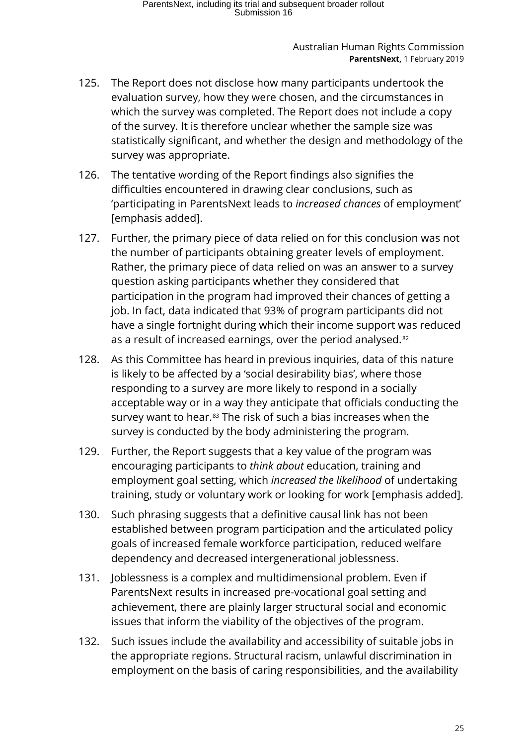- 125. The Report does not disclose how many participants undertook the evaluation survey, how they were chosen, and the circumstances in which the survey was completed. The Report does not include a copy of the survey. It is therefore unclear whether the sample size was statistically significant, and whether the design and methodology of the survey was appropriate.
- 126. The tentative wording of the Report findings also signifies the difficulties encountered in drawing clear conclusions, such as 'participating in ParentsNext leads to *increased chances* of employment' [emphasis added].
- 127. Further, the primary piece of data relied on for this conclusion was not the number of participants obtaining greater levels of employment. Rather, the primary piece of data relied on was an answer to a survey question asking participants whether they considered that participation in the program had improved their chances of getting a job. In fact, data indicated that 93% of program participants did not have a single fortnight during which their income support was reduced as a result of increased earnings, over the period analysed.<sup>[82](#page-41-49)</sup>
- 128. As this Committee has heard in previous inquiries, data of this nature is likely to be affected by a 'social desirability bias', where those responding to a survey are more likely to respond in a socially acceptable way or in a way they anticipate that officials conducting the survey want to hear.<sup>[83](#page-41-50)</sup> The risk of such a bias increases when the survey is conducted by the body administering the program.
- 129. Further, the Report suggests that a key value of the program was encouraging participants to *think about* education, training and employment goal setting, which *increased the likelihood* of undertaking training, study or voluntary work or looking for work [emphasis added].
- 130. Such phrasing suggests that a definitive causal link has not been established between program participation and the articulated policy goals of increased female workforce participation, reduced welfare dependency and decreased intergenerational joblessness.
- 131. Joblessness is a complex and multidimensional problem. Even if ParentsNext results in increased pre-vocational goal setting and achievement, there are plainly larger structural social and economic issues that inform the viability of the objectives of the program.
- 132. Such issues include the availability and accessibility of suitable jobs in the appropriate regions. Structural racism, unlawful discrimination in employment on the basis of caring responsibilities, and the availability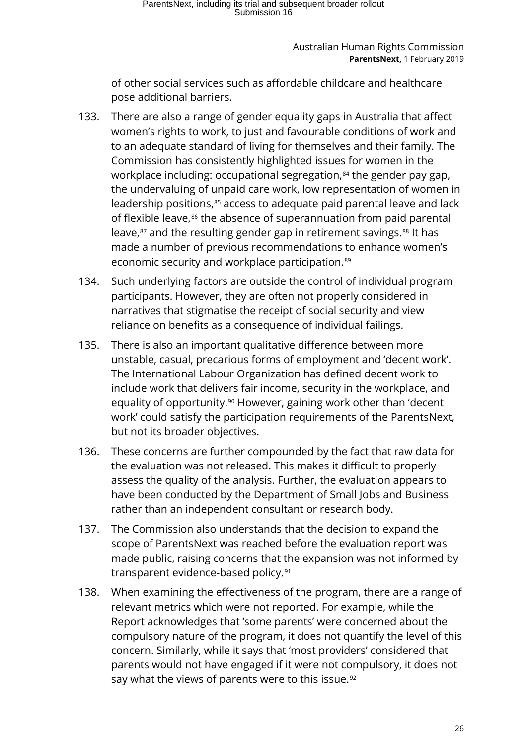of other social services such as affordable childcare and healthcare pose additional barriers.

- 133. There are also a range of gender equality gaps in Australia that affect women's rights to work, to just and favourable conditions of work and to an adequate standard of living for themselves and their family. The Commission has consistently highlighted issues for women in the workplace including: occupational segregation,<sup>[84](#page-41-51)</sup> the gender pay gap, the undervaluing of unpaid care work, low representation of women in leadership positions,<sup>[85](#page-41-17)</sup> access to adequate paid parental leave and lack of flexible leave,<sup>[86](#page-41-52)</sup> the absence of superannuation from paid parental leave,<sup>[87](#page-41-22)</sup> and the resulting gender gap in retirement savings.<sup>[88](#page-41-8)</sup> It has made a number of previous recommendations to enhance women's economic security and workplace participation.<sup>[89](#page-41-29)</sup>
- 134. Such underlying factors are outside the control of individual program participants. However, they are often not properly considered in narratives that stigmatise the receipt of social security and view reliance on benefits as a consequence of individual failings.
- 135. There is also an important qualitative difference between more unstable, casual, precarious forms of employment and 'decent work'. The International Labour Organization has defined decent work to include work that delivers fair income, security in the workplace, and equality of opportunity.[90](#page-41-53) However, gaining work other than 'decent work' could satisfy the participation requirements of the ParentsNext, but not its broader objectives.
- 136. These concerns are further compounded by the fact that raw data for the evaluation was not released. This makes it difficult to properly assess the quality of the analysis. Further, the evaluation appears to have been conducted by the Department of Small Jobs and Business rather than an independent consultant or research body.
- 137. The Commission also understands that the decision to expand the scope of ParentsNext was reached before the evaluation report was made public, raising concerns that the expansion was not informed by transparent evidence-based policy.[91](#page-41-54)
- 138. When examining the effectiveness of the program, there are a range of relevant metrics which were not reported. For example, while the Report acknowledges that 'some parents' were concerned about the compulsory nature of the program, it does not quantify the level of this concern. Similarly, while it says that 'most providers' considered that parents would not have engaged if it were not compulsory, it does not say what the views of parents were to this issue.<sup>[92](#page-41-55)</sup>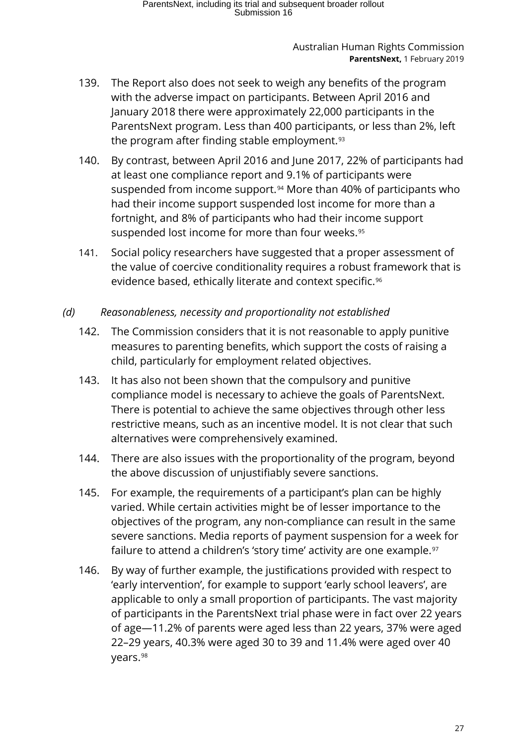- 139. The Report also does not seek to weigh any benefits of the program with the adverse impact on participants. Between April 2016 and January 2018 there were approximately 22,000 participants in the ParentsNext program. Less than 400 participants, or less than 2%, left the program after finding stable employment.<sup>[93](#page-41-56)</sup>
- 140. By contrast, between April 2016 and June 2017, 22% of participants had at least one compliance report and 9.1% of participants were suspended from income support.<sup>[94](#page-41-57)</sup> More than 40% of participants who had their income support suspended lost income for more than a fortnight, and 8% of participants who had their income support suspended lost income for more than four weeks.<sup>[95](#page-41-17)</sup>
- 141. Social policy researchers have suggested that a proper assessment of the value of coercive conditionality requires a robust framework that is evidence based, ethically literate and context specific.<sup>[96](#page-41-0)</sup>

### <span id="page-26-0"></span>*(d) Reasonableness, necessity and proportionality not established*

- 142. The Commission considers that it is not reasonable to apply punitive measures to parenting benefits, which support the costs of raising a child, particularly for employment related objectives.
- 143. It has also not been shown that the compulsory and punitive compliance model is necessary to achieve the goals of ParentsNext. There is potential to achieve the same objectives through other less restrictive means, such as an incentive model. It is not clear that such alternatives were comprehensively examined.
- 144. There are also issues with the proportionality of the program, beyond the above discussion of unjustifiably severe sanctions.
- 145. For example, the requirements of a participant's plan can be highly varied. While certain activities might be of lesser importance to the objectives of the program, any non-compliance can result in the same severe sanctions. Media reports of payment suspension for a week for failure to attend a children's 'story time' activity are one example.<sup>[97](#page-41-18)</sup>
- 146. By way of further example, the justifications provided with respect to 'early intervention', for example to support 'early school leavers', are applicable to only a small proportion of participants. The vast majority of participants in the ParentsNext trial phase were in fact over 22 years of age—11.2% of parents were aged less than 22 years, 37% were aged 22–29 years, 40.3% were aged 30 to 39 and 11.4% were aged over 40 years.[98](#page-41-58)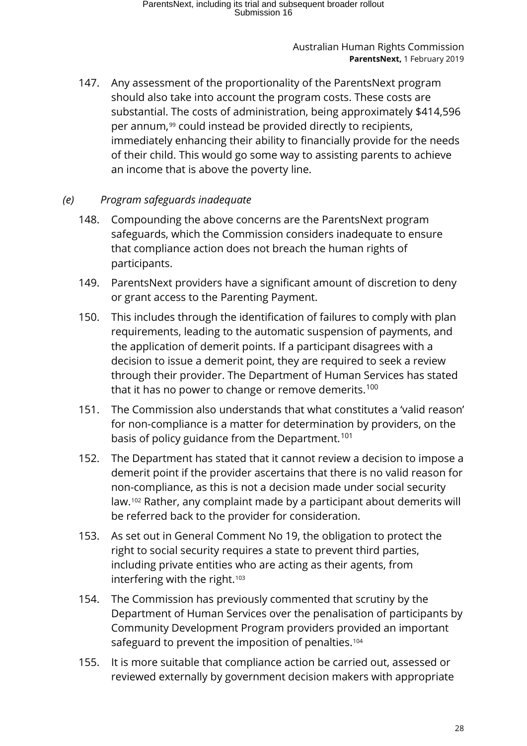147. Any assessment of the proportionality of the ParentsNext program should also take into account the program costs. These costs are substantial. The costs of administration, being approximately \$414,596 per annum,<sup>[99](#page-41-19)</sup> could instead be provided directly to recipients, immediately enhancing their ability to financially provide for the needs of their child. This would go some way to assisting parents to achieve an income that is above the poverty line.

### <span id="page-27-0"></span>*(e) Program safeguards inadequate*

- 148. Compounding the above concerns are the ParentsNext program safeguards, which the Commission considers inadequate to ensure that compliance action does not breach the human rights of participants.
- 149. ParentsNext providers have a significant amount of discretion to deny or grant access to the Parenting Payment.
- 150. This includes through the identification of failures to comply with plan requirements, leading to the automatic suspension of payments, and the application of demerit points. If a participant disagrees with a decision to issue a demerit point, they are required to seek a review through their provider. The Department of Human Services has stated that it has no power to change or remove demerits.<sup>[100](#page-41-20)</sup>
- 151. The Commission also understands that what constitutes a 'valid reason' for non-compliance is a matter for determination by providers, on the basis of policy guidance from the Department.<sup>[101](#page-41-22)</sup>
- 152. The Department has stated that it cannot review a decision to impose a demerit point if the provider ascertains that there is no valid reason for non-compliance, as this is not a decision made under social security law.[102](#page-41-8) Rather, any complaint made by a participant about demerits will be referred back to the provider for consideration.
- 153. As set out in General Comment No 19, the obligation to protect the right to social security requires a state to prevent third parties, including private entities who are acting as their agents, from interfering with the right.<sup>[103](#page-41-9)</sup>
- 154. The Commission has previously commented that scrutiny by the Department of Human Services over the penalisation of participants by Community Development Program providers provided an important safeguard to prevent the imposition of penalties.<sup>[104](#page-41-10)</sup>
- 155. It is more suitable that compliance action be carried out, assessed or reviewed externally by government decision makers with appropriate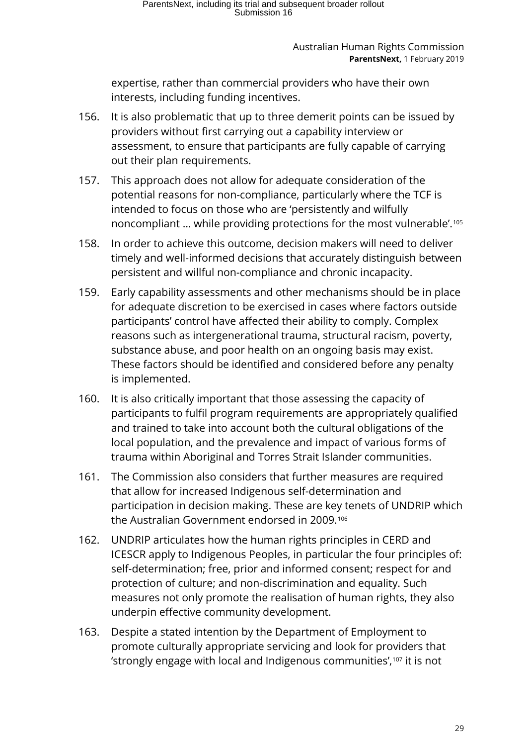expertise, rather than commercial providers who have their own interests, including funding incentives.

- 156. It is also problematic that up to three demerit points can be issued by providers without first carrying out a capability interview or assessment, to ensure that participants are fully capable of carrying out their plan requirements.
- 157. This approach does not allow for adequate consideration of the potential reasons for non-compliance, particularly where the TCF is intended to focus on those who are 'persistently and wilfully noncompliant … while providing protections for the most vulnerable'.[105](#page-41-28)
- 158. In order to achieve this outcome, decision makers will need to deliver timely and well-informed decisions that accurately distinguish between persistent and willful non-compliance and chronic incapacity.
- 159. Early capability assessments and other mechanisms should be in place for adequate discretion to be exercised in cases where factors outside participants' control have affected their ability to comply. Complex reasons such as intergenerational trauma, structural racism, poverty, substance abuse, and poor health on an ongoing basis may exist. These factors should be identified and considered before any penalty is implemented.
- 160. It is also critically important that those assessing the capacity of participants to fulfil program requirements are appropriately qualified and trained to take into account both the cultural obligations of the local population, and the prevalence and impact of various forms of trauma within Aboriginal and Torres Strait Islander communities.
- 161. The Commission also considers that further measures are required that allow for increased Indigenous self-determination and participation in decision making. These are key tenets of UNDRIP which the Australian Government endorsed in 2009.<sup>[106](#page-41-59)</sup>
- 162. UNDRIP articulates how the human rights principles in CERD and ICESCR apply to Indigenous Peoples, in particular the four principles of: self-determination; free, prior and informed consent; respect for and protection of culture; and non-discrimination and equality. Such measures not only promote the realisation of human rights, they also underpin effective community development.
- 163. Despite a stated intention by the Department of Employment to promote culturally appropriate servicing and look for providers that 'strongly engage with local and Indigenous communities',[107](#page-41-60) it is not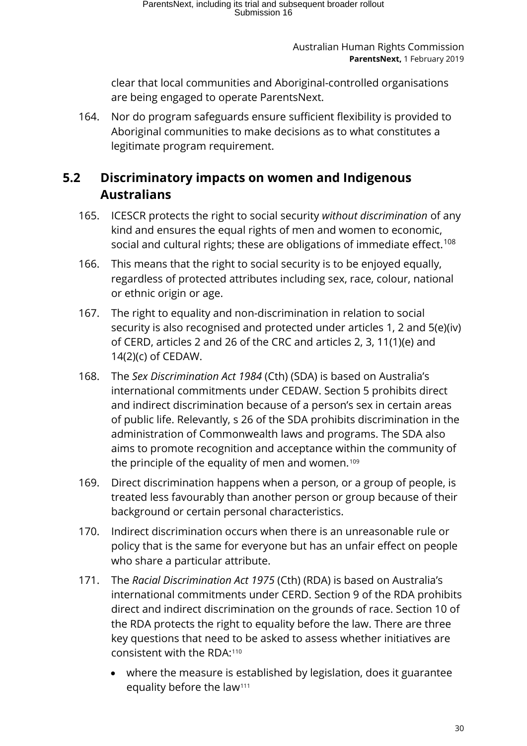clear that local communities and Aboriginal-controlled organisations are being engaged to operate ParentsNext.

164. Nor do program safeguards ensure sufficient flexibility is provided to Aboriginal communities to make decisions as to what constitutes a legitimate program requirement.

### <span id="page-29-0"></span>**5.2 Discriminatory impacts on women and Indigenous Australians**

- 165. ICESCR protects the right to social security *without discrimination* of any kind and ensures the equal rights of men and women to economic, social and cultural rights; these are obligations of immediate effect.<sup>[108](#page-41-13)</sup>
- 166. This means that the right to social security is to be enjoyed equally, regardless of protected attributes including sex, race, colour, national or ethnic origin or age.
- 167. The right to equality and non-discrimination in relation to social security is also recognised and protected under articles 1, 2 and 5(e)(iv) of CERD, articles 2 and 26 of the CRC and articles 2, 3, 11(1)(e) and 14(2)(c) of CEDAW.
- 168. The *Sex Discrimination Act 1984* (Cth) (SDA) is based on Australia's international commitments under CEDAW. Section 5 prohibits direct and indirect discrimination because of a person's sex in certain areas of public life. Relevantly, s 26 of the SDA prohibits discrimination in the administration of Commonwealth laws and programs. The SDA also aims to promote recognition and acceptance within the community of the principle of the equality of men and women.<sup>[109](#page-41-14)</sup>
- 169. Direct discrimination happens when a person, or a group of people, is treated less favourably than another person or group because of their background or certain personal characteristics.
- 170. Indirect discrimination occurs when there is an unreasonable rule or policy that is the same for everyone but has an unfair effect on people who share a particular attribute.
- 171. The *Racial Discrimination Act 1975* (Cth) (RDA) is based on Australia's international commitments under CERD. Section 9 of the RDA prohibits direct and indirect discrimination on the grounds of race. Section 10 of the RDA protects the right to equality before the law. There are three key questions that need to be asked to assess whether initiatives are consistent with the RDA:[110](#page-41-61)
	- where the measure is established by legislation, does it guarantee equality before the law<sup>[111](#page-41-54)</sup>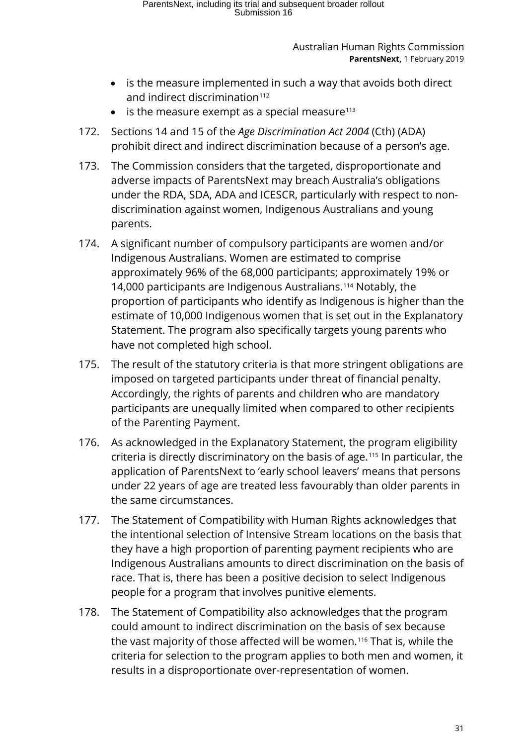- is the measure implemented in such a way that avoids both direct and indirect discrimination<sup>[112](#page-41-16)</sup>
- is the measure exempt as a special measure $113$
- 172. Sections 14 and 15 of the *Age Discrimination Act 2004* (Cth) (ADA) prohibit direct and indirect discrimination because of a person's age.
- 173. The Commission considers that the targeted, disproportionate and adverse impacts of ParentsNext may breach Australia's obligations under the RDA, SDA, ADA and ICESCR, particularly with respect to nondiscrimination against women, Indigenous Australians and young parents.
- 174. A significant number of compulsory participants are women and/or Indigenous Australians. Women are estimated to comprise approximately 96% of the 68,000 participants; approximately 19% or 14,000 participants are Indigenous Australians.[114](#page-41-56) Notably, the proportion of participants who identify as Indigenous is higher than the estimate of 10,000 Indigenous women that is set out in the Explanatory Statement. The program also specifically targets young parents who have not completed high school.
- 175. The result of the statutory criteria is that more stringent obligations are imposed on targeted participants under threat of financial penalty. Accordingly, the rights of parents and children who are mandatory participants are unequally limited when compared to other recipients of the Parenting Payment.
- 176. As acknowledged in the Explanatory Statement, the program eligibility criteria is directly discriminatory on the basis of age.[115](#page-41-0) In particular, the application of ParentsNext to 'early school leavers' means that persons under 22 years of age are treated less favourably than older parents in the same circumstances.
- 177. The Statement of Compatibility with Human Rights acknowledges that the intentional selection of Intensive Stream locations on the basis that they have a high proportion of parenting payment recipients who are Indigenous Australians amounts to direct discrimination on the basis of race. That is, there has been a positive decision to select Indigenous people for a program that involves punitive elements.
- 178. The Statement of Compatibility also acknowledges that the program could amount to indirect discrimination on the basis of sex because the vast majority of those affected will be women.[116](#page-41-62) That is, while the criteria for selection to the program applies to both men and women, it results in a disproportionate over-representation of women.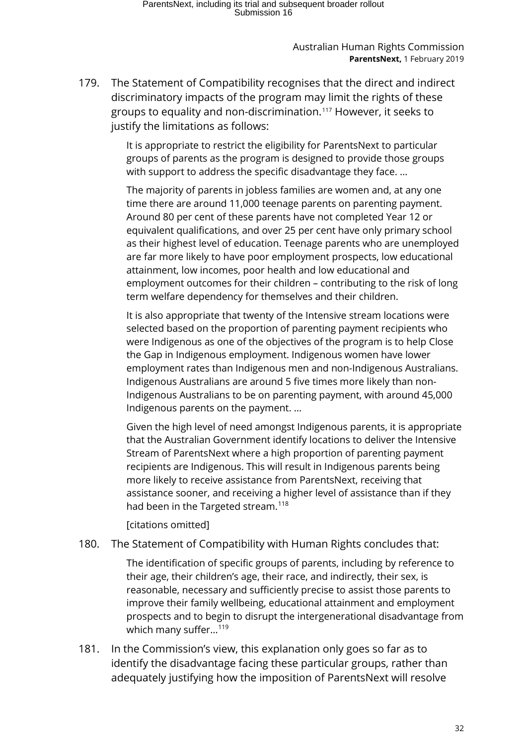179. The Statement of Compatibility recognises that the direct and indirect discriminatory impacts of the program may limit the rights of these groups to equality and non-discrimination.[117](#page-41-58) However, it seeks to justify the limitations as follows:

> It is appropriate to restrict the eligibility for ParentsNext to particular groups of parents as the program is designed to provide those groups with support to address the specific disadvantage they face. …

The majority of parents in jobless families are women and, at any one time there are around 11,000 teenage parents on parenting payment. Around 80 per cent of these parents have not completed Year 12 or equivalent qualifications, and over 25 per cent have only primary school as their highest level of education. Teenage parents who are unemployed are far more likely to have poor employment prospects, low educational attainment, low incomes, poor health and low educational and employment outcomes for their children – contributing to the risk of long term welfare dependency for themselves and their children.

It is also appropriate that twenty of the Intensive stream locations were selected based on the proportion of parenting payment recipients who were Indigenous as one of the objectives of the program is to help Close the Gap in Indigenous employment. Indigenous women have lower employment rates than Indigenous men and non-Indigenous Australians. Indigenous Australians are around 5 five times more likely than non-Indigenous Australians to be on parenting payment, with around 45,000 Indigenous parents on the payment. …

Given the high level of need amongst Indigenous parents, it is appropriate that the Australian Government identify locations to deliver the Intensive Stream of ParentsNext where a high proportion of parenting payment recipients are Indigenous. This will result in Indigenous parents being more likely to receive assistance from ParentsNext, receiving that assistance sooner, and receiving a higher level of assistance than if they had been in the Targeted stream.<sup>[118](#page-41-2)</sup>

[citations omitted]

180. The Statement of Compatibility with Human Rights concludes that:

The identification of specific groups of parents, including by reference to their age, their children's age, their race, and indirectly, their sex, is reasonable, necessary and sufficiently precise to assist those parents to improve their family wellbeing, educational attainment and employment prospects and to begin to disrupt the intergenerational disadvantage from which many suffer...<sup>[119](#page-41-52)</sup>

181. In the Commission's view, this explanation only goes so far as to identify the disadvantage facing these particular groups, rather than adequately justifying how the imposition of ParentsNext will resolve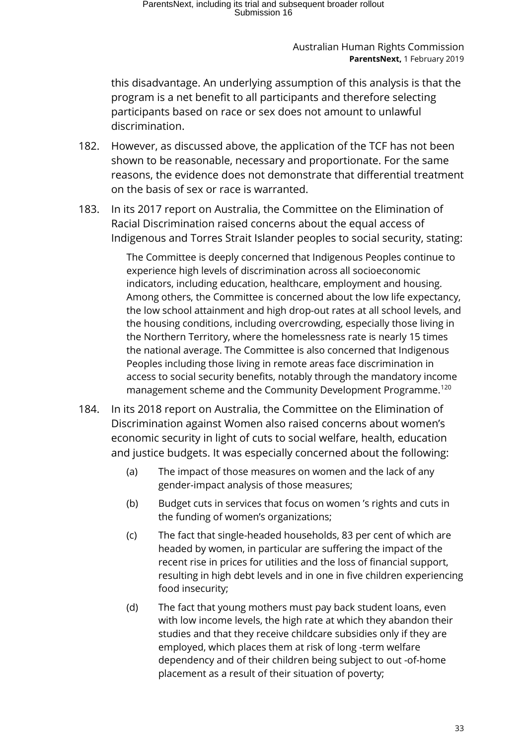this disadvantage. An underlying assumption of this analysis is that the program is a net benefit to all participants and therefore selecting participants based on race or sex does not amount to unlawful discrimination.

- 182. However, as discussed above, the application of the TCF has not been shown to be reasonable, necessary and proportionate. For the same reasons, the evidence does not demonstrate that differential treatment on the basis of sex or race is warranted.
- 183. In its 2017 report on Australia, the Committee on the Elimination of Racial Discrimination raised concerns about the equal access of Indigenous and Torres Strait Islander peoples to social security, stating:

The Committee is deeply concerned that Indigenous Peoples continue to experience high levels of discrimination across all socioeconomic indicators, including education, healthcare, employment and housing. Among others, the Committee is concerned about the low life expectancy, the low school attainment and high drop-out rates at all school levels, and the housing conditions, including overcrowding, especially those living in the Northern Territory, where the homelessness rate is nearly 15 times the national average. The Committee is also concerned that Indigenous Peoples including those living in remote areas face discrimination in access to social security benefits, notably through the mandatory income management scheme and the Community Development Programme.<sup>[120](#page-41-3)</sup>

- 184. In its 2018 report on Australia, the Committee on the Elimination of Discrimination against Women also raised concerns about women's economic security in light of cuts to social welfare, health, education and justice budgets. It was especially concerned about the following:
	- (a) The impact of those measures on women and the lack of any gender-impact analysis of those measures;
	- (b) Budget cuts in services that focus on women 's rights and cuts in the funding of women's organizations;
	- (c) The fact that single-headed households, 83 per cent of which are headed by women, in particular are suffering the impact of the recent rise in prices for utilities and the loss of financial support, resulting in high debt levels and in one in five children experiencing food insecurity;
	- (d) The fact that young mothers must pay back student loans, even with low income levels, the high rate at which they abandon their studies and that they receive childcare subsidies only if they are employed, which places them at risk of long -term welfare dependency and of their children being subject to out -of-home placement as a result of their situation of poverty;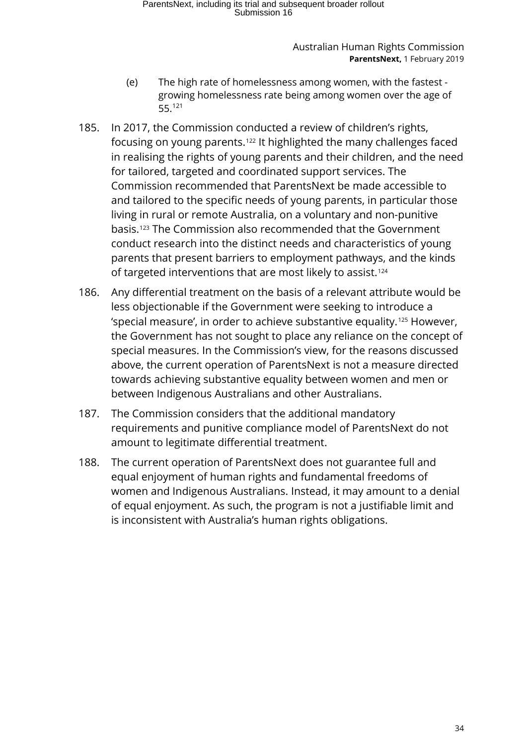- (e) The high rate of homelessness among women, with the fastest growing homelessness rate being among women over the age of 55.[121](#page-41-23)
- 185. In 2017, the Commission conducted a review of children's rights, focusing on young parents.[122](#page-41-6) It highlighted the many challenges faced in realising the rights of young parents and their children, and the need for tailored, targeted and coordinated support services. The Commission recommended that ParentsNext be made accessible to and tailored to the specific needs of young parents, in particular those living in rural or remote Australia, on a voluntary and non-punitive basis.[123](#page-41-63) The Commission also recommended that the Government conduct research into the distinct needs and characteristics of young parents that present barriers to employment pathways, and the kinds of targeted interventions that are most likely to assist.<sup>[124](#page-41-64)</sup>
- 186. Any differential treatment on the basis of a relevant attribute would be less objectionable if the Government were seeking to introduce a 'special measure', in order to achieve substantive equality.[125](#page-41-24) However, the Government has not sought to place any reliance on the concept of special measures. In the Commission's view, for the reasons discussed above, the current operation of ParentsNext is not a measure directed towards achieving substantive equality between women and men or between Indigenous Australians and other Australians.
- 187. The Commission considers that the additional mandatory requirements and punitive compliance model of ParentsNext do not amount to legitimate differential treatment.
- 188. The current operation of ParentsNext does not guarantee full and equal enjoyment of human rights and fundamental freedoms of women and Indigenous Australians. Instead, it may amount to a denial of equal enjoyment. As such, the program is not a justifiable limit and is inconsistent with Australia's human rights obligations.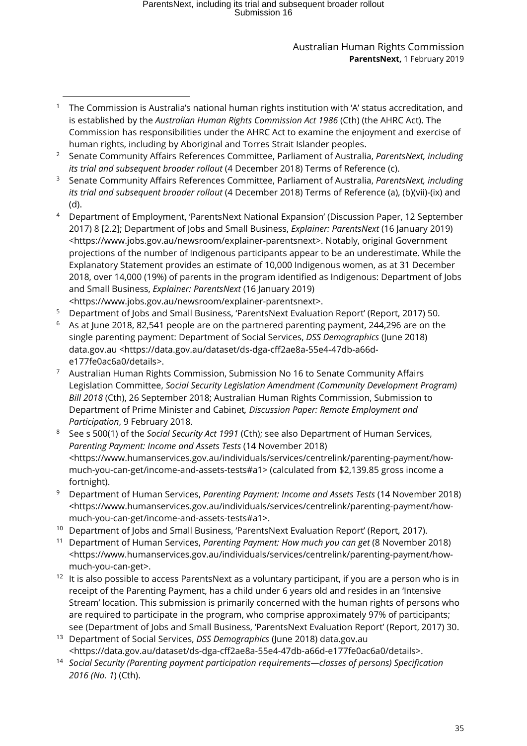# ParentsNext, including its trial and subsequent broader rollout Submission 16

#### Australian Human Rights Commission **ParentsNext,** 1 February 2019

- <sup>2</sup> Senate Community Affairs References Committee, Parliament of Australia, *ParentsNext, including its trial and subsequent broader rollout* (4 December 2018) Terms of Reference (c).
- <sup>3</sup> Senate Community Affairs References Committee, Parliament of Australia, *ParentsNext, including its trial and subsequent broader rollout* (4 December 2018) Terms of Reference (a), (b)(vii)-(ix) and (d).
- <sup>4</sup> Department of Employment, 'ParentsNext National Expansion' (Discussion Paper, 12 September 2017) 8 [2.2]; Department of Jobs and Small Business, *Explainer: ParentsNext* (16 January 2019) [<https://www.jobs.gov.au/newsroom/explainer-parentsnext>](https://www.jobs.gov.au/newsroom/explainer-parentsnext). Notably, original Government projections of the number of Indigenous participants appear to be an underestimate. While the Explanatory Statement provides an estimate of 10,000 Indigenous women, as at 31 December 2018, over 14,000 (19%) of parents in the program identified as Indigenous: Department of Jobs and Small Business, *Explainer: ParentsNext* (16 January 2019) [<https://www.jobs.gov.au/newsroom/explainer-parentsnext>](https://www.jobs.gov.au/newsroom/explainer-parentsnext).
- <sup>5</sup> Department of Jobs and Small Business, 'ParentsNext Evaluation Report' (Report, 2017) 50.
- $6$  As at June 2018, 82,541 people are on the partnered parenting payment, 244,296 are on the single parenting payment: Department of Social Services, *DSS Demographics* (June 2018) data.gov.au <https://data.gov.au/dataset/ds-dga-cff2ae8a-55e4-47db-a66de177fe0ac6a0/details>.
- <sup>7</sup> Australian Human Rights Commission, Submission No 16 to Senate Community Affairs Legislation Committee, *Social Security Legislation Amendment (Community Development Program) Bill 2018* (Cth), 26 September 2018; Australian Human Rights Commission, Submission to Department of Prime Minister and Cabinet*, Discussion Paper: Remote Employment and Participation*, 9 February 2018.
- <sup>8</sup> See s 500(1) of the *Social Security Act 1991* (Cth); see also Department of Human Services, *Parenting Payment: Income and Assets Tests* (14 November 2018) [<https://www.humanservices.gov.au/individuals/services/centrelink/parenting-payment/how](https://www.humanservices.gov.au/individuals/services/centrelink/parenting-payment/how-much-you-can-get/income-and-assets-tests#a1)[much-you-can-get/income-and-assets-tests#a1>](https://www.humanservices.gov.au/individuals/services/centrelink/parenting-payment/how-much-you-can-get/income-and-assets-tests#a1) (calculated from \$2,139.85 gross income a fortnight).
- <sup>9</sup> Department of Human Services, *Parenting Payment: Income and Assets Tests* (14 November 2018) [<https://www.humanservices.gov.au/individuals/services/centrelink/parenting-payment/how](https://www.humanservices.gov.au/individuals/services/centrelink/parenting-payment/how-much-you-can-get/income-and-assets-tests#a1)[much-you-can-get/income-and-assets-tests#a1>](https://www.humanservices.gov.au/individuals/services/centrelink/parenting-payment/how-much-you-can-get/income-and-assets-tests#a1).
- <sup>10</sup> Department of Jobs and Small Business, 'ParentsNext Evaluation Report' (Report, 2017).
- <sup>11</sup> Department of Human Services, *Parenting Payment: How much you can get* (8 November 2018) *<*[https://www.humanservices.gov.au/individuals/services/centrelink/parenting-payment/how](https://www.humanservices.gov.au/individuals/services/centrelink/parenting-payment/how-much-you-can-get)[much-you-can-get>](https://www.humanservices.gov.au/individuals/services/centrelink/parenting-payment/how-much-you-can-get).
- $12$  It is also possible to access ParentsNext as a voluntary participant, if you are a person who is in receipt of the Parenting Payment, has a child under 6 years old and resides in an 'Intensive Stream' location. This submission is primarily concerned with the human rights of persons who are required to participate in the program, who comprise approximately 97% of participants; see (Department of Jobs and Small Business, 'ParentsNext Evaluation Report' (Report, 2017) 30.
- <sup>13</sup> Department of Social Services, *DSS Demographics* (June 2018) data.gov.au <https://data.gov.au/dataset/ds-dga-cff2ae8a-55e4-47db-a66d-e177fe0ac6a0/details>.
- <sup>14</sup> *Social Security (Parenting payment participation requirements—classes of persons) Specification 2016 (No. 1*) (Cth).

<sup>1</sup> The Commission is Australia's national human rights institution with 'A' status accreditation, and is established by the *Australian Human Rights Commission Act 1986* (Cth) (the AHRC Act). The Commission has responsibilities under the AHRC Act to examine the enjoyment and exercise of human rights, including by Aboriginal and Torres Strait Islander peoples. -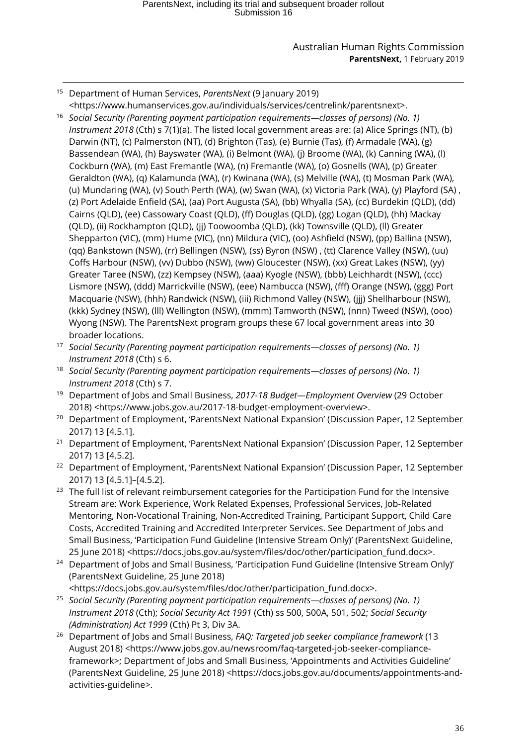- -<sup>15</sup> Department of Human Services, *ParentsNext* (9 January 2019) [<https://www.humanservices.gov.au/individuals/services/centrelink/parentsnext>](https://www.humanservices.gov.au/individuals/services/centrelink/parentsnext).
- <span id="page-35-3"></span><span id="page-35-2"></span><span id="page-35-1"></span><span id="page-35-0"></span><sup>16</sup> *Social Security (Parenting payment participation requirements—classes of persons) (No. 1) Instrument 2018* (Cth) s 7(1)(a). The listed local government areas are: (a) Alice Springs (NT), (b) Darwin (NT), (c) Palmerston (NT), (d) Brighton (Tas), (e) Burnie (Tas), (f) Armadale (WA), (g) Bassendean (WA), (h) Bayswater (WA), (i) Belmont (WA), (j) Broome (WA), (k) Canning (WA), (l) Cockburn (WA), (m) East Fremantle (WA), (n) Fremantle (WA), (o) Gosnells (WA), (p) Greater Geraldton (WA), (q) Kalamunda (WA), (r) Kwinana (WA), (s) Melville (WA), (t) Mosman Park (WA), (u) Mundaring (WA), (v) South Perth (WA), (w) Swan (WA), (x) Victoria Park (WA), (y) Playford (SA) , (z) Port Adelaide Enfield (SA), (aa) Port Augusta (SA), (bb) Whyalla (SA), (cc) Burdekin (QLD), (dd) Cairns (QLD), (ee) Cassowary Coast (QLD), (ff) Douglas (QLD), (gg) Logan (QLD), (hh) Mackay (QLD), (ii) Rockhampton (QLD), (jj) Toowoomba (QLD), (kk) Townsville (QLD), (ll) Greater Shepparton (VIC), (mm) Hume (VIC), (nn) Mildura (VIC), (oo) Ashfield (NSW), (pp) Ballina (NSW), (qq) Bankstown (NSW), (rr) Bellingen (NSW), (ss) Byron (NSW) , (tt) Clarence Valley (NSW), (uu) Coffs Harbour (NSW), (vv) Dubbo (NSW), (ww) Gloucester (NSW), (xx) Great Lakes (NSW), (yy) Greater Taree (NSW), (zz) Kempsey (NSW), (aaa) Kyogle (NSW), (bbb) Leichhardt (NSW), (ccc) Lismore (NSW), (ddd) Marrickville (NSW), (eee) Nambucca (NSW), (fff) Orange (NSW), (ggg) Port Macquarie (NSW), (hhh) Randwick (NSW), (iii) Richmond Valley (NSW), (jjj) Shellharbour (NSW), (kkk) Sydney (NSW), (lll) Wellington (NSW), (mmm) Tamworth (NSW), (nnn) Tweed (NSW), (ooo) Wyong (NSW). The ParentsNext program groups these 67 local government areas into 30 broader locations.
- <span id="page-35-4"></span><sup>17</sup> *Social Security (Parenting payment participation requirements—classes of persons) (No. 1) Instrument 2018* (Cth) s 6.
- <sup>18</sup> *Social Security (Parenting payment participation requirements—classes of persons) (No. 1) Instrument 2018* (Cth) s 7.
- <sup>19</sup> Department of Jobs and Small Business, *2017-18 Budget—Employment Overview* (29 October 2018) [<https://www.jobs.gov.au/2017-18-budget-employment-overview>](https://www.jobs.gov.au/2017-18-budget-employment-overview).
- <sup>20</sup> Department of Employment, 'ParentsNext National Expansion' (Discussion Paper, 12 September 2017) 13 [4.5.1].
- <sup>21</sup> Department of Employment, 'ParentsNext National Expansion' (Discussion Paper, 12 September 2017) 13 [4.5.2].
- <sup>22</sup> Department of Employment, 'ParentsNext National Expansion' (Discussion Paper, 12 September 2017) 13 [4.5.1]–[4.5.2].
- <sup>23</sup> The full list of relevant reimbursement categories for the Participation Fund for the Intensive Stream are: Work Experience, Work Related Expenses, Professional Services, Job-Related Mentoring, Non-Vocational Training, Non-Accredited Training, Participant Support, Child Care Costs, Accredited Training and Accredited Interpreter Services. See Department of Jobs and Small Business, 'Participation Fund Guideline (Intensive Stream Only)' (ParentsNext Guideline, 25 June 2018) [<https://docs.jobs.gov.au/system/files/doc/other/participation\\_fund.docx>](https://docs.jobs.gov.au/system/files/doc/other/participation_fund.docx).
- <sup>24</sup> Department of Jobs and Small Business, 'Participation Fund Guideline (Intensive Stream Only)' (ParentsNext Guideline, 25 June 2018)

[<https://docs.jobs.gov.au/system/files/doc/other/participation\\_fund.docx>](https://docs.jobs.gov.au/system/files/doc/other/participation_fund.docx).

- <sup>25</sup> *Social Security (Parenting payment participation requirements—classes of persons) (No. 1) Instrument 2018* (Cth); *Social Security Act 1991* (Cth) ss 500, 500A, 501, 502; *Social Security (Administration) Act 1999* (Cth) Pt 3, Div 3A.
- <sup>26</sup> Department of Jobs and Small Business, *FAQ: Targeted job seeker compliance framework* (13 August 2018) [<https://www.jobs.gov.au/newsroom/faq-targeted-job-seeker-compliance](https://www.jobs.gov.au/newsroom/faq-targeted-job-seeker-compliance-framework)[framework>](https://www.jobs.gov.au/newsroom/faq-targeted-job-seeker-compliance-framework); Department of Jobs and Small Business, 'Appointments and Activities Guideline' (ParentsNext Guideline, 25 June 2018) [<https://docs.jobs.gov.au/documents/appointments-and](https://docs.jobs.gov.au/documents/appointments-and-activities-guideline)[activities-guideline>](https://docs.jobs.gov.au/documents/appointments-and-activities-guideline).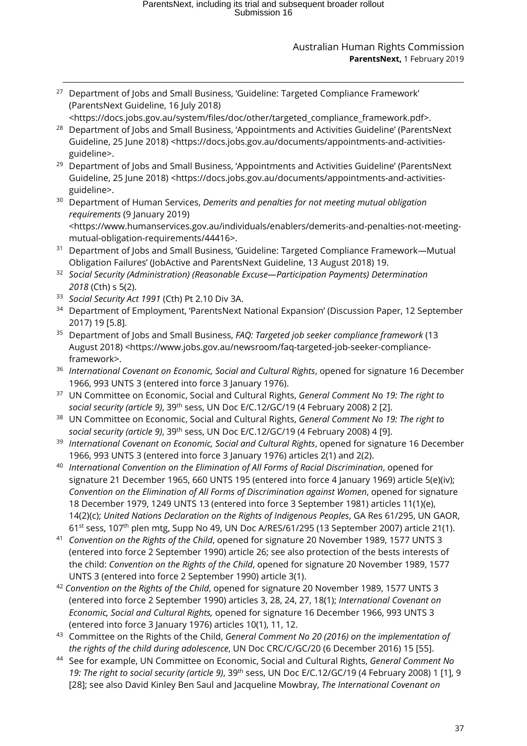<span id="page-36-1"></span><span id="page-36-0"></span>- $27$  Department of Jobs and Small Business, 'Guideline: Targeted Compliance Framework' (ParentsNext Guideline, 16 July 2018) [<https://docs.jobs.gov.au/system/files/doc/other/targeted\\_compliance\\_framework.pdf>](https://docs.jobs.gov.au/system/files/doc/other/targeted_compliance_framework.pdf). <sup>28</sup> Department of Jobs and Small Business, 'Appointments and Activities Guideline' (ParentsNext Guideline, 25 June 2018) [<https://docs.jobs.gov.au/documents/appointments-and-activities](https://docs.jobs.gov.au/documents/appointments-and-activities-guideline)[guideline>](https://docs.jobs.gov.au/documents/appointments-and-activities-guideline). <sup>29</sup> Department of Jobs and Small Business, 'Appointments and Activities Guideline' (ParentsNext Guideline, 25 June 2018) [<https://docs.jobs.gov.au/documents/appointments-and-activities](https://docs.jobs.gov.au/documents/appointments-and-activities-guideline)[guideline>](https://docs.jobs.gov.au/documents/appointments-and-activities-guideline). <sup>30</sup> Department of Human Services, *Demerits and penalties for not meeting mutual obligation requirements* (9 January 2019) <https://www.humanservices.gov.au/individuals/enablers/demerits-and-penalties-not-meetingmutual-obligation-requirements/44416>. <sup>31</sup> Department of Jobs and Small Business, 'Guideline: Targeted Compliance Framework—Mutual Obligation Failures' (JobActive and ParentsNext Guideline, 13 August 2018) 19. <sup>32</sup> *Social Security (Administration) (Reasonable Excuse—Participation Payments) Determination 2018* (Cth) s 5(2). <sup>33</sup> *Social Security Act 1991* (Cth) Pt 2.10 Div 3A. <sup>34</sup> Department of Employment, 'ParentsNext National Expansion' (Discussion Paper, 12 September 2017) 19 [5.8]. <sup>35</sup> Department of Jobs and Small Business, *FAQ: Targeted job seeker compliance framework* (13 August 2018) [<https://www.jobs.gov.au/newsroom/faq-targeted-job-seeker-compliance](https://www.jobs.gov.au/newsroom/faq-targeted-job-seeker-compliance-framework)[framework>](https://www.jobs.gov.au/newsroom/faq-targeted-job-seeker-compliance-framework). <sup>36</sup> *International Covenant on Economic, Social and Cultural Rights*, opened for signature 16 December 1966, 993 UNTS 3 (entered into force 3 January 1976). <sup>37</sup> UN Committee on Economic, Social and Cultural Rights, *General Comment No 19: The right to social security (article 9)*, 39th sess, UN Doc E/C.12/GC/19 (4 February 2008) 2 [2]. <sup>38</sup> UN Committee on Economic, Social and Cultural Rights, *General Comment No 19: The right to social security (article 9)*, 39th sess, UN Doc E/C.12/GC/19 (4 February 2008) 4 [9]. <sup>39</sup> *International Covenant on Economic, Social and Cultural Rights*, opened for signature 16 December 1966, 993 UNTS 3 (entered into force 3 January 1976) articles 2(1) and 2(2). <sup>40</sup> *International Convention on the Elimination of All Forms of Racial Discrimination*, opened for signature 21 December 1965, 660 UNTS 195 (entered into force 4 January 1969) article 5(e)(iv); *Convention on the Elimination of All Forms of Discrimination against Women*, opened for signature 18 December 1979, 1249 UNTS 13 (entered into force 3 September 1981) articles 11(1)(e), 14(2)(c); *United Nations Declaration on the Rights of Indigenous Peoples*, GA Res 61/295, UN GAOR, 61st sess, 107th plen mtg, Supp No 49, UN Doc A/RES/61/295 (13 September 2007) article 21(1). <sup>41</sup> *Convention on the Rights of the Child*, opened for signature 20 November 1989, 1577 UNTS 3 (entered into force 2 September 1990) article 26; see also protection of the bests interests of the child: *Convention on the Rights of the Child*, opened for signature 20 November 1989, 1577 UNTS 3 (entered into force 2 September 1990) article 3(1). <sup>42</sup> *Convention on the Rights of the Child*, opened for signature 20 November 1989, 1577 UNTS 3 (entered into force 2 September 1990) articles 3, 28, 24, 27, 18(1); *International Covenant on Economic, Social and Cultural Rights,* opened for signature 16 December 1966, 993 UNTS 3 (entered into force 3 January 1976) articles 10(1), 11, 12. <sup>43</sup> Committee on the Rights of the Child, *General Comment No 20 (2016) on the implementation of the rights of the child during adolescence*, UN Doc CRC/C/GC/20 (6 December 2016) 15 [55]. <sup>44</sup> See for example, UN Committee on Economic, Social and Cultural Rights, *General Comment No 19: The right to social security (article 9)*, 39th sess, UN Doc E/C.12/GC/19 (4 February 2008) 1 [1], 9

[28]; see also David Kinley Ben Saul and Jacqueline Mowbray, *The International Covenant on*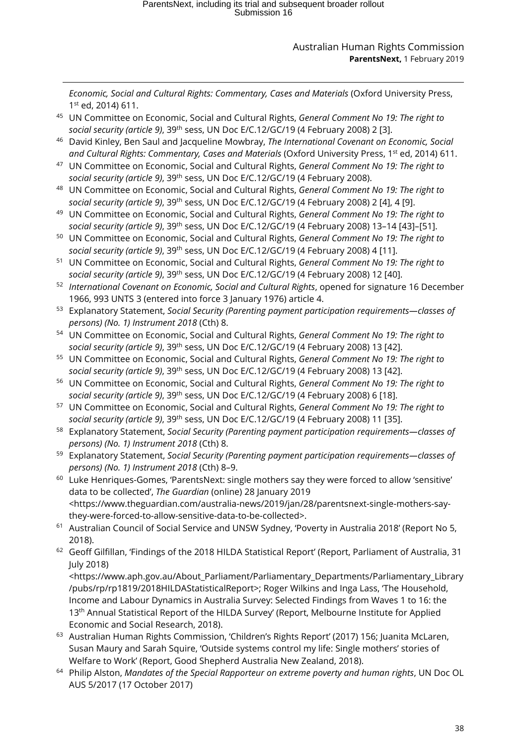*Economic, Social and Cultural Rights: Commentary, Cases and Materials* (Oxford University Press, 1st ed, 2014) 611.

<sup>45</sup> UN Committee on Economic, Social and Cultural Rights, *General Comment No 19: The right to social security (article 9)*, 39th sess, UN Doc E/C.12/GC/19 (4 February 2008) 2 [3].

-

- <sup>46</sup> David Kinley, Ben Saul and Jacqueline Mowbray, *The International Covenant on Economic, Social*  and Cultural Rights: Commentary, Cases and Materials (Oxford University Press, 1<sup>st</sup> ed, 2014) 611.
- <sup>47</sup> UN Committee on Economic, Social and Cultural Rights, *General Comment No 19: The right to social security (article 9)*, 39th sess, UN Doc E/C.12/GC/19 (4 February 2008).
- <sup>48</sup> UN Committee on Economic, Social and Cultural Rights, *General Comment No 19: The right to social security (article 9)*, 39th sess, UN Doc E/C.12/GC/19 (4 February 2008) 2 [4], 4 [9].
- <sup>49</sup> UN Committee on Economic, Social and Cultural Rights, *General Comment No 19: The right to social security (article 9)*, 39th sess, UN Doc E/C.12/GC/19 (4 February 2008) 13–14 [43]–[51].
- <sup>50</sup> UN Committee on Economic, Social and Cultural Rights, *General Comment No 19: The right to social security (article 9)*, 39th sess, UN Doc E/C.12/GC/19 (4 February 2008) 4 [11].
- <sup>51</sup> UN Committee on Economic, Social and Cultural Rights, *General Comment No 19: The right to social security (article 9)*, 39th sess, UN Doc E/C.12/GC/19 (4 February 2008) 12 [40].
- <sup>52</sup> *International Covenant on Economic, Social and Cultural Rights*, opened for signature 16 December 1966, 993 UNTS 3 (entered into force 3 January 1976) article 4.
- <sup>53</sup> Explanatory Statement, *Social Security (Parenting payment participation requirements—classes of persons) (No. 1) Instrument 2018* (Cth) 8.
- <sup>54</sup> UN Committee on Economic, Social and Cultural Rights, *General Comment No 19: The right to social security (article 9)*, 39th sess, UN Doc E/C.12/GC/19 (4 February 2008) 13 [42].
- <sup>55</sup> UN Committee on Economic, Social and Cultural Rights, *General Comment No 19: The right to social security (article 9)*, 39th sess, UN Doc E/C.12/GC/19 (4 February 2008) 13 [42].
- <sup>56</sup> UN Committee on Economic, Social and Cultural Rights, *General Comment No 19: The right to social security (article 9)*, 39th sess, UN Doc E/C.12/GC/19 (4 February 2008) 6 [18].
- <sup>57</sup> UN Committee on Economic, Social and Cultural Rights, *General Comment No 19: The right to social security (article 9)*, 39th sess, UN Doc E/C.12/GC/19 (4 February 2008) 11 [35].
- <span id="page-37-0"></span><sup>58</sup> Explanatory Statement, *Social Security (Parenting payment participation requirements—classes of persons) (No. 1) Instrument 2018* (Cth) 8.
- <sup>59</sup> Explanatory Statement, *Social Security (Parenting payment participation requirements—classes of persons) (No. 1) Instrument 2018* (Cth) 8–9.
- <span id="page-37-1"></span><sup>60</sup> Luke Henriques-Gomes, 'ParentsNext: single mothers say they were forced to allow 'sensitive' data to be collected', *The Guardian* (online) 28 January 2019 [<https://www.theguardian.com/australia-news/2019/jan/28/parentsnext-single-mothers-say](https://www.theguardian.com/australia-news/2019/jan/28/parentsnext-single-mothers-say-they-were-forced-to-allow-sensitive-data-to-be-collected)[they-were-forced-to-allow-sensitive-data-to-be-collected>](https://www.theguardian.com/australia-news/2019/jan/28/parentsnext-single-mothers-say-they-were-forced-to-allow-sensitive-data-to-be-collected).
- <span id="page-37-2"></span><sup>61</sup> Australian Council of Social Service and UNSW Sydney, 'Poverty in Australia 2018' (Report No 5, 2018).
- <span id="page-37-4"></span><span id="page-37-3"></span><sup>62</sup> Geoff Gilfillan, 'Findings of the 2018 HILDA Statistical Report' (Report, Parliament of Australia, 31 July 2018)

[<https://www.aph.gov.au/About\\_Parliament/Parliamentary\\_Departments/Parliamentary\\_Library](https://www.aph.gov.au/About_Parliament/Parliamentary_Departments/Parliamentary_Library/pubs/rp/rp1819/2018HILDAStatisticalReport) [/pubs/rp/rp1819/2018HILDAStatisticalReport>](https://www.aph.gov.au/About_Parliament/Parliamentary_Departments/Parliamentary_Library/pubs/rp/rp1819/2018HILDAStatisticalReport); Roger Wilkins and Inga Lass, 'The Household, Income and Labour Dynamics in Australia Survey: Selected Findings from Waves 1 to 16: the 13<sup>th</sup> Annual Statistical Report of the HILDA Survey' (Report, Melbourne Institute for Applied Economic and Social Research, 2018).

- <span id="page-37-5"></span><sup>63</sup> Australian Human Rights Commission, 'Children's Rights Report' (2017) 156; Juanita McLaren, Susan Maury and Sarah Squire, 'Outside systems control my life: Single mothers' stories of Welfare to Work' (Report, Good Shepherd Australia New Zealand, 2018).
- <sup>64</sup> Philip Alston, *Mandates of the Special Rapporteur on extreme poverty and human rights*, UN Doc OL AUS 5/2017 (17 October 2017)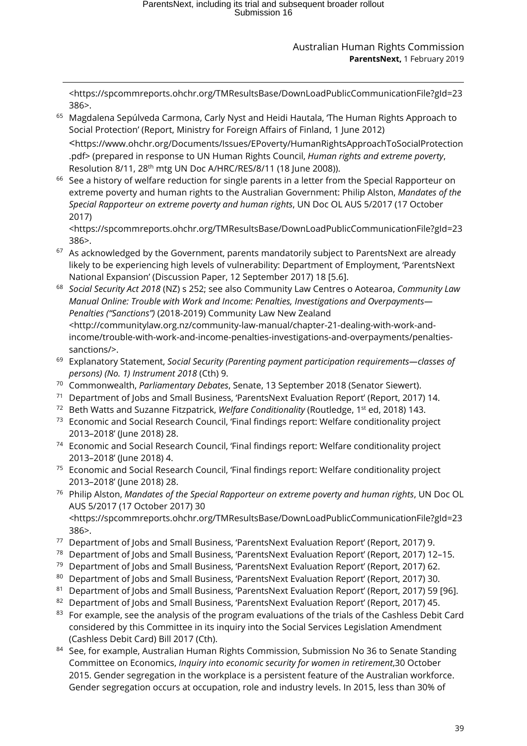[<https://spcommreports.ohchr.org/TMResultsBase/DownLoadPublicCommunicationFile?gId=23](https://spcommreports.ohchr.org/TMResultsBase/DownLoadPublicCommunicationFile?gId=23386) [386>](https://spcommreports.ohchr.org/TMResultsBase/DownLoadPublicCommunicationFile?gId=23386).

-

- <span id="page-38-2"></span><span id="page-38-1"></span><sup>65</sup> Magdalena Sepúlveda Carmona, Carly Nyst and Heidi Hautala, 'The Human Rights Approach to Social Protection' (Report, Ministry for Foreign Affairs of Finland, 1 June 2012) <https://www.ohchr.org/Documents/Issues/EPoverty/HumanRightsApproachToSocialProtection .pdf> (prepared in response to UN Human Rights Council, *Human rights and extreme poverty*, Resolution 8/11, 28<sup>th</sup> mtg UN Doc A/HRC/RES/8/11 (18 June 2008)).
- <sup>66</sup> See a history of welfare reduction for single parents in a letter from the Special Rapporteur on extreme poverty and human rights to the Australian Government: Philip Alston, *Mandates of the Special Rapporteur on extreme poverty and human rights*, UN Doc OL AUS 5/2017 (17 October 2017)

[<https://spcommreports.ohchr.org/TMResultsBase/DownLoadPublicCommunicationFile?gId=23](https://spcommreports.ohchr.org/TMResultsBase/DownLoadPublicCommunicationFile?gId=23386) [386>](https://spcommreports.ohchr.org/TMResultsBase/DownLoadPublicCommunicationFile?gId=23386).

- $67$  As acknowledged by the Government, parents mandatorily subject to ParentsNext are already likely to be experiencing high levels of vulnerability: Department of Employment, 'ParentsNext National Expansion' (Discussion Paper, 12 September 2017) 18 [5.6].
- <sup>68</sup> *Social Security Act 2018* (NZ) s 252; see also Community Law Centres o Aotearoa, *Community Law Manual Online: Trouble with Work and Income: Penalties, Investigations and Overpayments— Penalties ("Sanctions")* (2018-2019) Community Law New Zealand <http://communitylaw.org.nz/community-law-manual/chapter-21-dealing-with-work-andincome/trouble-with-work-and-income-penalties-investigations-and-overpayments/penaltiessanctions/>.
- <sup>69</sup> Explanatory Statement, *Social Security (Parenting payment participation requirements—classes of persons) (No. 1) Instrument 2018* (Cth) 9.
- <sup>70</sup> Commonwealth, *Parliamentary Debates*, Senate, 13 September 2018 (Senator Siewert).
- <sup>71</sup> Department of Jobs and Small Business, 'ParentsNext Evaluation Report' (Report, 2017) 14.
- <sup>72</sup> Beth Watts and Suzanne Fitzpatrick, *Welfare Conditionality* (Routledge, 1st ed, 2018) 143.
- <sup>73</sup> Economic and Social Research Council, 'Final findings report: Welfare conditionality project 2013–2018' (June 2018) 28.
- <sup>74</sup> Economic and Social Research Council, 'Final findings report: Welfare conditionality project 2013–2018' (June 2018) 4.
- <sup>75</sup> Economic and Social Research Council, 'Final findings report: Welfare conditionality project 2013–2018' (June 2018) 28.
- <sup>76</sup> Philip Alston, *Mandates of the Special Rapporteur on extreme poverty and human rights*, UN Doc OL AUS 5/2017 (17 October 2017) 30 [<https://spcommreports.ohchr.org/TMResultsBase/DownLoadPublicCommunicationFile?gId=23](https://spcommreports.ohchr.org/TMResultsBase/DownLoadPublicCommunicationFile?gId=23386) [386>](https://spcommreports.ohchr.org/TMResultsBase/DownLoadPublicCommunicationFile?gId=23386).
- <sup>77</sup> Department of Jobs and Small Business, 'ParentsNext Evaluation Report' (Report, 2017) 9.
- <sup>78</sup> Department of Jobs and Small Business, 'ParentsNext Evaluation Report' (Report, 2017) 12–15.
- <sup>79</sup> Department of Jobs and Small Business, 'ParentsNext Evaluation Report' (Report, 2017) 62.
- 80 Department of Jobs and Small Business, 'ParentsNext Evaluation Report' (Report, 2017) 30.
- 81 Department of Jobs and Small Business, 'ParentsNext Evaluation Report' (Report, 2017) 59 [96].
- 82 Department of Jobs and Small Business, 'ParentsNext Evaluation Report' (Report, 2017) 45.
- 83 For example, see the analysis of the program evaluations of the trials of the Cashless Debit Card considered by this Committee in its inquiry into the Social Services Legislation Amendment (Cashless Debit Card) Bill 2017 (Cth).
- <span id="page-38-0"></span>84 See, for example, Australian Human Rights Commission, Submission No 36 to Senate Standing Committee on Economics, *Inquiry into economic security for women in retirement*,30 October 2015. Gender segregation in the workplace is a persistent feature of the Australian workforce. Gender segregation occurs at occupation, role and industry levels. In 2015, less than 30% of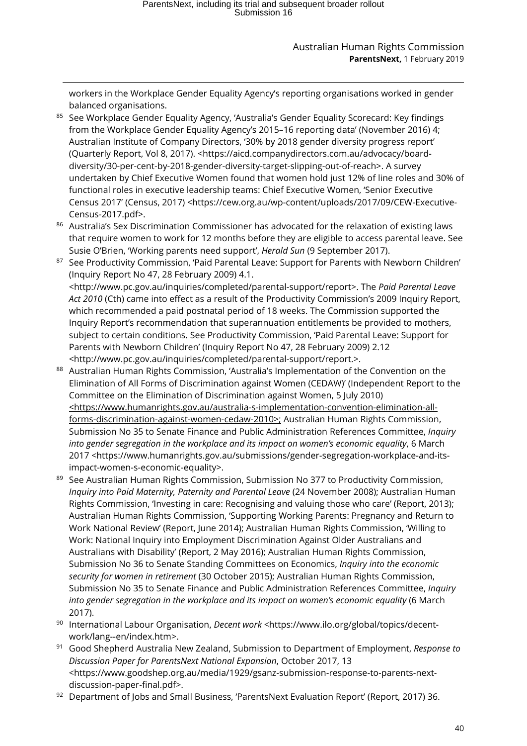workers in the Workplace Gender Equality Agency's reporting organisations worked in gender balanced organisations.

-

- <sup>85</sup> See Workplace Gender Equality Agency, 'Australia's Gender Equality Scorecard: Key findings from the Workplace Gender Equality Agency's 2015–16 reporting data' (November 2016) 4; Australian Institute of Company Directors, '30% by 2018 gender diversity progress report' (Quarterly Report, Vol 8, 2017). [<https://aicd.companydirectors.com.au/advocacy/board](https://aicd.companydirectors.com.au/advocacy/board-diversity/30-per-cent-by-2018-gender-diversity-target-slipping-out-of-reach)[diversity/30-per-cent-by-2018-gender-diversity-target-slipping-out-of-reach>](https://aicd.companydirectors.com.au/advocacy/board-diversity/30-per-cent-by-2018-gender-diversity-target-slipping-out-of-reach). A survey undertaken by Chief Executive Women found that women hold just 12% of line roles and 30% of functional roles in executive leadership teams: Chief Executive Women, 'Senior Executive Census 2017' (Census, 2017) [<https://cew.org.au/wp-content/uploads/2017/09/CEW-Executive-](https://cew.org.au/wp-content/uploads/2017/09/CEW-Executive-Census-2017.pdf)[Census-2017.pdf>](https://cew.org.au/wp-content/uploads/2017/09/CEW-Executive-Census-2017.pdf).
- 86 Australia's Sex Discrimination Commissioner has advocated for the relaxation of existing laws that require women to work for 12 months before they are eligible to access parental leave. See Susie O'Brien, 'Working parents need support', *Herald Sun* (9 September 2017).
- 87 See Productivity Commission, 'Paid Parental Leave: Support for Parents with Newborn Children' (Inquiry Report No 47, 28 February 2009) 4.1. [<http://www.pc.gov.au/inquiries/completed/parental-support/report>](http://www.pc.gov.au/inquiries/completed/parental-support/report). The *Paid Parental Leave Act 2010* (Cth) came into effect as a result of the Productivity Commission's 2009 Inquiry Report, which recommended a paid postnatal period of 18 weeks. The Commission supported the Inquiry Report's recommendation that superannuation entitlements be provided to mothers, subject to certain conditions. See Productivity Commission, 'Paid Parental Leave: Support for Parents with Newborn Children' (Inquiry Report No 47, 28 February 2009) 2.12 [<http://www.pc.gov.au/inquiries/completed/parental-support/report.](http://www.pc.gov.au/inquiries/completed/parental-support/report)>.
- <span id="page-39-3"></span><span id="page-39-2"></span><span id="page-39-1"></span><span id="page-39-0"></span>88 Australian Human Rights Commission, 'Australia's Implementation of the Convention on the Elimination of All Forms of Discrimination against Women (CEDAW)' (Independent Report to the Committee on the Elimination of Discrimination against Women, 5 July 2010) [<https://www.humanrights.gov.au/australia-s-implementation-convention-elimination-all](https://www.humanrights.gov.au/australia-s-implementation-convention-elimination-all-forms-discrimination-against-women-cedaw-2010)[forms-discrimination-against-women-cedaw-2010>](https://www.humanrights.gov.au/australia-s-implementation-convention-elimination-all-forms-discrimination-against-women-cedaw-2010); Australian Human Rights Commission, Submission No 35 to Senate Finance and Public Administration References Committee, *Inquiry into gender segregation in the workplace and its impact on women's economic equality*, 6 March 2017 [<https://www.humanrights.gov.au/submissions/gender-segregation-workplace-and-its](https://www.humanrights.gov.au/submissions/gender-segregation-workplace-and-its-impact-women-s-economic-equality)[impact-women-s-economic-equality>](https://www.humanrights.gov.au/submissions/gender-segregation-workplace-and-its-impact-women-s-economic-equality).
- <span id="page-39-6"></span><span id="page-39-5"></span><span id="page-39-4"></span>89 See Australian Human Rights Commission, Submission No 377 to Productivity Commission, *Inquiry into Paid Maternity, Paternity and Parental Leave* (24 November 2008); Australian Human Rights Commission, 'Investing in care: Recognising and valuing those who care' (Report, 2013); Australian Human Rights Commission, 'Supporting Working Parents: Pregnancy and Return to Work National Review' (Report, June 2014); Australian Human Rights Commission, ['Willing to](https://www.humanrights.gov.au/our-work/age-discrimination/projects/willing-work-national-inquiry-employment-discrimination-against)  [Work: National Inquiry into Employment Discrimination Against Older Australians and](https://www.humanrights.gov.au/our-work/age-discrimination/projects/willing-work-national-inquiry-employment-discrimination-against)  [Australians with Disability'](https://www.humanrights.gov.au/our-work/age-discrimination/projects/willing-work-national-inquiry-employment-discrimination-against) (Report, 2 May 2016); Australian Human Rights Commission, Submission No 36 to Senate Standing Committees on Economics, *Inquiry into the economic security for women in retirement* (30 October 2015); Australian Human Rights Commission, Submission No 35 to Senate Finance and Public Administration References Committee, *Inquiry into gender segregation in the workplace and its impact on women's economic equality* (6 March 2017).
- <sup>90</sup> International Labour Organisation, *Decent work* <https://www.ilo.org/global/topics/decentwork/lang--en/index.htm>.
- <sup>91</sup> Good Shepherd Australia New Zealand, Submission to Department of Employment, *Response to Discussion Paper for ParentsNext National Expansion*, October 2017, 13 [<https://www.goodshep.org.au/media/1929/gsanz-submission-response-to-parents-next](https://www.goodshep.org.au/media/1929/gsanz-submission-response-to-parents-next-discussion-paper-final.pdf)[discussion-paper-final.pdf>](https://www.goodshep.org.au/media/1929/gsanz-submission-response-to-parents-next-discussion-paper-final.pdf).
- 92 Department of Jobs and Small Business, 'ParentsNext Evaluation Report' (Report, 2017) 36.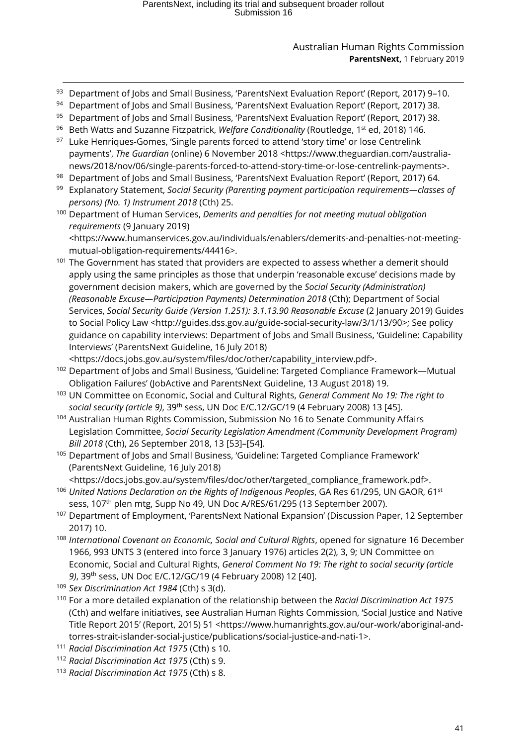- <span id="page-40-3"></span>-93 Department of Jobs and Small Business, 'ParentsNext Evaluation Report' (Report, 2017) 9-10.
- 94 Department of Jobs and Small Business, 'ParentsNext Evaluation Report' (Report, 2017) 38.
- 95 Department of Jobs and Small Business, 'ParentsNext Evaluation Report' (Report, 2017) 38.
- <sup>96</sup> Beth Watts and Suzanne Fitzpatrick, *Welfare Conditionality* (Routledge, 1<sup>st</sup> ed, 2018) 146.
- <sup>97</sup> Luke Henriques-Gomes, 'Single parents forced to attend 'story time' or lose Centrelink payments', *The Guardian* (online) 6 November 2018 [<https://www.theguardian.com/australia](https://www.theguardian.com/australia-news/2018/nov/06/single-parents-forced-to-attend-story-time-or-lose-centrelink-payments)[news/2018/nov/06/single-parents-forced-to-attend-story-time-or-lose-centrelink-payments>](https://www.theguardian.com/australia-news/2018/nov/06/single-parents-forced-to-attend-story-time-or-lose-centrelink-payments).
- <sup>98</sup> Department of Jobs and Small Business, 'ParentsNext Evaluation Report' (Report, 2017) 64.
- <sup>99</sup> Explanatory Statement, *Social Security (Parenting payment participation requirements—classes of persons) (No. 1) Instrument 2018* (Cth) 25.
- <sup>100</sup> Department of Human Services, *Demerits and penalties for not meeting mutual obligation requirements* (9 January 2019) <https://www.humanservices.gov.au/individuals/enablers/demerits-and-penalties-not-meeting-

mutual-obligation-requirements/44416>.

<sup>101</sup> The Government has stated that providers are expected to assess whether a demerit should apply using the same principles as those that underpin 'reasonable excuse' decisions made by government decision makers, which are governed by the *Social Security (Administration) (Reasonable Excuse—Participation Payments) Determination 2018* (Cth); Department of Social Services, *Social Security Guide (Version 1.251): 3.1.13.90 Reasonable Excuse* (2 January 2019) Guides to Social Policy Law [<http://guides.dss.gov.au/guide-social-security-law/3/1/13/90>](http://guides.dss.gov.au/guide-social-security-law/3/1/13/90); See policy guidance on capability interviews: Department of Jobs and Small Business, 'Guideline: Capability Interviews' (ParentsNext Guideline, 16 July 2018)

[<https://docs.jobs.gov.au/system/files/doc/other/capability\\_interview.pdf>](https://docs.jobs.gov.au/system/files/doc/other/capability_interview.pdf).

- <sup>102</sup> Department of Jobs and Small Business, 'Guideline: Targeted Compliance Framework—Mutual Obligation Failures' (JobActive and ParentsNext Guideline, 13 August 2018) 19.
- <sup>103</sup> UN Committee on Economic, Social and Cultural Rights, *General Comment No 19: The right to social security (article 9)*, 39th sess, UN Doc E/C.12/GC/19 (4 February 2008) 13 [45].
- <sup>104</sup> Australian Human Rights Commission, Submission No 16 to Senate Community Affairs Legislation Committee, *Social Security Legislation Amendment (Community Development Program) Bill 2018* (Cth), 26 September 2018, 13 [53]–[54].
- <sup>105</sup> Department of Jobs and Small Business, 'Guideline: Targeted Compliance Framework' (ParentsNext Guideline, 16 July 2018)

[<https://docs.jobs.gov.au/system/files/doc/other/targeted\\_compliance\\_framework.pdf>](https://docs.jobs.gov.au/system/files/doc/other/targeted_compliance_framework.pdf).

- <sup>106</sup> United Nations Declaration on the Rights of Indigenous Peoples, GA Res 61/295, UN GAOR, 61<sup>st</sup> sess, 107<sup>th</sup> plen mtg, Supp No 49, UN Doc A/RES/61/295 (13 September 2007).
- <sup>107</sup> Department of Employment, 'ParentsNext National Expansion' (Discussion Paper, 12 September 2017) 10.
- <span id="page-40-0"></span><sup>108</sup> *International Covenant on Economic, Social and Cultural Rights*, opened for signature 16 December 1966, 993 UNTS 3 (entered into force 3 January 1976) articles 2(2), 3, 9; UN Committee on Economic, Social and Cultural Rights, *General Comment No 19: The right to social security (article 9)*, 39th sess, UN Doc E/C.12/GC/19 (4 February 2008) 12 [40].
- <sup>109</sup> *Sex Discrimination Act 1984* (Cth) s 3(d).
- <span id="page-40-1"></span><sup>110</sup> For a more detailed explanation of the relationship between the *Racial Discrimination Act 1975*  (Cth) and welfare initiatives, see Australian Human Rights Commission, 'Social Justice and Native Title Report 2015' (Report, 2015) 51 <https://www.humanrights.gov.au/our-work/aboriginal-andtorres-strait-islander-social-justice/publications/social-justice-and-nati-1>.
- <span id="page-40-2"></span><sup>111</sup> *Racial Discrimination Act 1975* (Cth) s 10.
- <sup>112</sup> *Racial Discrimination Act 1975* (Cth) s 9.
- <sup>113</sup> *Racial Discrimination Act 1975* (Cth) s 8.